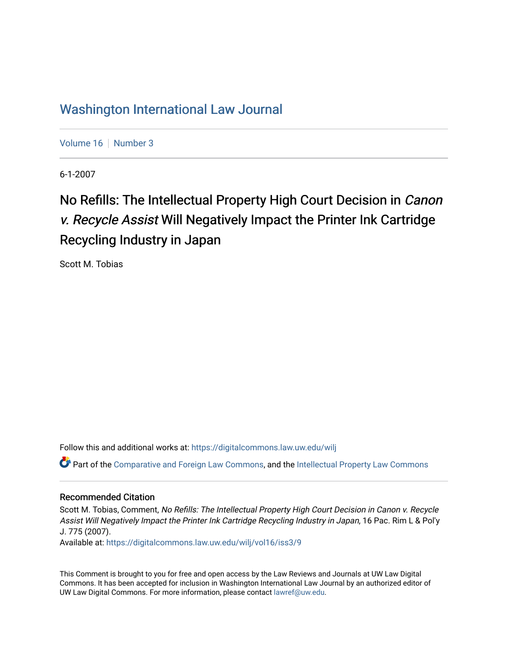# [Washington International Law Journal](https://digitalcommons.law.uw.edu/wilj)

[Volume 16](https://digitalcommons.law.uw.edu/wilj/vol16) | [Number 3](https://digitalcommons.law.uw.edu/wilj/vol16/iss3)

6-1-2007

# No Refills: The Intellectual Property High Court Decision in Canon v. Recycle Assist Will Negatively Impact the Printer Ink Cartridge Recycling Industry in Japan

Scott M. Tobias

Follow this and additional works at: [https://digitalcommons.law.uw.edu/wilj](https://digitalcommons.law.uw.edu/wilj?utm_source=digitalcommons.law.uw.edu%2Fwilj%2Fvol16%2Fiss3%2F9&utm_medium=PDF&utm_campaign=PDFCoverPages) 

Part of the [Comparative and Foreign Law Commons,](http://network.bepress.com/hgg/discipline/836?utm_source=digitalcommons.law.uw.edu%2Fwilj%2Fvol16%2Fiss3%2F9&utm_medium=PDF&utm_campaign=PDFCoverPages) and the [Intellectual Property Law Commons](http://network.bepress.com/hgg/discipline/896?utm_source=digitalcommons.law.uw.edu%2Fwilj%2Fvol16%2Fiss3%2F9&utm_medium=PDF&utm_campaign=PDFCoverPages)

#### Recommended Citation

Scott M. Tobias, Comment, No Refills: The Intellectual Property High Court Decision in Canon v. Recycle Assist Will Negatively Impact the Printer Ink Cartridge Recycling Industry in Japan, 16 Pac. Rim L & Pol'y J. 775 (2007).

Available at: [https://digitalcommons.law.uw.edu/wilj/vol16/iss3/9](https://digitalcommons.law.uw.edu/wilj/vol16/iss3/9?utm_source=digitalcommons.law.uw.edu%2Fwilj%2Fvol16%2Fiss3%2F9&utm_medium=PDF&utm_campaign=PDFCoverPages) 

This Comment is brought to you for free and open access by the Law Reviews and Journals at UW Law Digital Commons. It has been accepted for inclusion in Washington International Law Journal by an authorized editor of UW Law Digital Commons. For more information, please contact [lawref@uw.edu](mailto:lawref@uw.edu).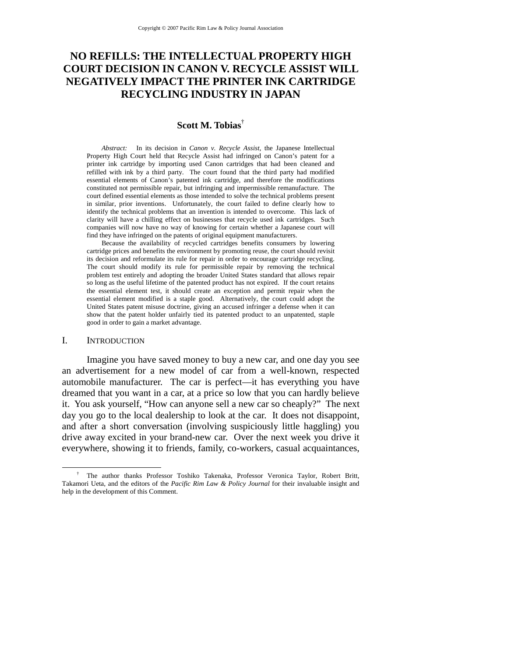# **NO REFILLS: THE INTELLECTUAL PROPERTY HIGH COURT DECISION IN CANON V. RECYCLE ASSIST WILL NEGATIVELY IMPACT THE PRINTER INK CARTRIDGE RECYCLING INDUSTRY IN JAPAN**

#### **Scott M. Tobias**†

*Abstract:* In its decision in *Canon v. Recycle Assist*, the Japanese Intellectual Property High Court held that Recycle Assist had infringed on Canon's patent for a printer ink cartridge by importing used Canon cartridges that had been cleaned and refilled with ink by a third party. The court found that the third party had modified essential elements of Canon's patented ink cartridge, and therefore the modifications constituted not permissible repair, but infringing and impermissible remanufacture. The court defined essential elements as those intended to solve the technical problems present in similar, prior inventions. Unfortunately, the court failed to define clearly how to identify the technical problems that an invention is intended to overcome. This lack of clarity will have a chilling effect on businesses that recycle used ink cartridges. Such companies will now have no way of knowing for certain whether a Japanese court will find they have infringed on the patents of original equipment manufacturers.

Because the availability of recycled cartridges benefits consumers by lowering cartridge prices and benefits the environment by promoting reuse, the court should revisit its decision and reformulate its rule for repair in order to encourage cartridge recycling. The court should modify its rule for permissible repair by removing the technical problem test entirely and adopting the broader United States standard that allows repair so long as the useful lifetime of the patented product has not expired. If the court retains the essential element test, it should create an exception and permit repair when the essential element modified is a staple good. Alternatively, the court could adopt the United States patent misuse doctrine, giving an accused infringer a defense when it can show that the patent holder unfairly tied its patented product to an unpatented, staple good in order to gain a market advantage.

#### I. INTRODUCTION

Imagine you have saved money to buy a new car, and one day you see an advertisement for a new model of car from a well-known, respected automobile manufacturer. The car is perfect—it has everything you have dreamed that you want in a car, at a price so low that you can hardly believe it. You ask yourself, "How can anyone sell a new car so cheaply?" The next day you go to the local dealership to look at the car. It does not disappoint, and after a short conversation (involving suspiciously little haggling) you drive away excited in your brand-new car. Over the next week you drive it everywhere, showing it to friends, family, co-workers, casual acquaintances,

 <sup>†</sup> <sup>†</sup> The author thanks Professor Toshiko Takenaka, Professor Veronica Taylor, Robert Britt, Takamori Ueta, and the editors of the *Pacific Rim Law & Policy Journal* for their invaluable insight and help in the development of this Comment.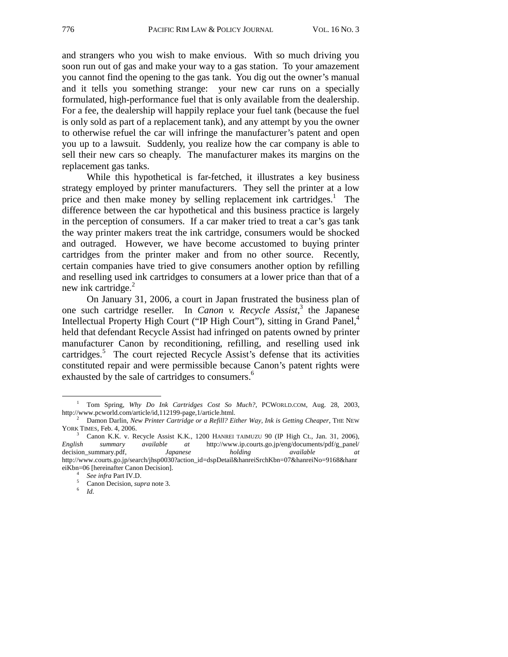and strangers who you wish to make envious. With so much driving you soon run out of gas and make your way to a gas station. To your amazement you cannot find the opening to the gas tank. You dig out the owner's manual and it tells you something strange: your new car runs on a specially formulated, high-performance fuel that is only available from the dealership. For a fee, the dealership will happily replace your fuel tank (because the fuel is only sold as part of a replacement tank), and any attempt by you the owner to otherwise refuel the car will infringe the manufacturer's patent and open you up to a lawsuit. Suddenly, you realize how the car company is able to sell their new cars so cheaply. The manufacturer makes its margins on the replacement gas tanks.

While this hypothetical is far-fetched, it illustrates a key business strategy employed by printer manufacturers. They sell the printer at a low price and then make money by selling replacement ink cartridges.<sup>1</sup> The difference between the car hypothetical and this business practice is largely in the perception of consumers. If a car maker tried to treat a car's gas tank the way printer makers treat the ink cartridge, consumers would be shocked and outraged. However, we have become accustomed to buying printer cartridges from the printer maker and from no other source. Recently, certain companies have tried to give consumers another option by refilling and reselling used ink cartridges to consumers at a lower price than that of a new ink cartridge. $^{2}$ 

On January 31, 2006, a court in Japan frustrated the business plan of one such cartridge reseller. In *Canon v. Recycle Assist*, 3 the Japanese Intellectual Property High Court ("IP High Court"), sitting in Grand Panel,<sup>4</sup> held that defendant Recycle Assist had infringed on patents owned by printer manufacturer Canon by reconditioning, refilling, and reselling used ink cartridges.<sup>5</sup> The court rejected Recycle Assist's defense that its activities constituted repair and were permissible because Canon's patent rights were exhausted by the sale of cartridges to consumers.<sup>6</sup>

 <sup>1</sup> Tom Spring, *Why Do Ink Cartridges Cost So Much?*, PCWORLD.COM, Aug. 28, 2003, http://www.pcworld.com/article/id,112199-page,1/article.html. 2

Damon Darlin, *New Printer Cartridge or a Refill? Either Way, Ink is Getting Cheaper*, THE NEW YORK TIMES, Feb. 4, 2006.

Canon K.K. v. Recycle Assist K.K., 1200 HANREI TAIMUZU 90 (IP High Ct., Jan. 31, 2006), *English summary available at* http://www.ip.courts.go.jp/eng/documents/pdf/g\_panel/ decision\_summary.pdf, *Japanese holding available at*  http://www.courts.go.jp/search/jhsp0030?action\_id=dspDetail&hanreiSrchKbn=07&hanreiNo=9168&hanr eiKbn=06 [hereinafter Canon Decision].<br>
<sup>4</sup> *See infra* Part IV.D.<br>
<sup>5</sup> Canon Decision surves note <sup>3</sup>

<sup>&</sup>lt;sup>5</sup> Canon Decision, *supra* note 3.<br><sup>6</sup> *Id.*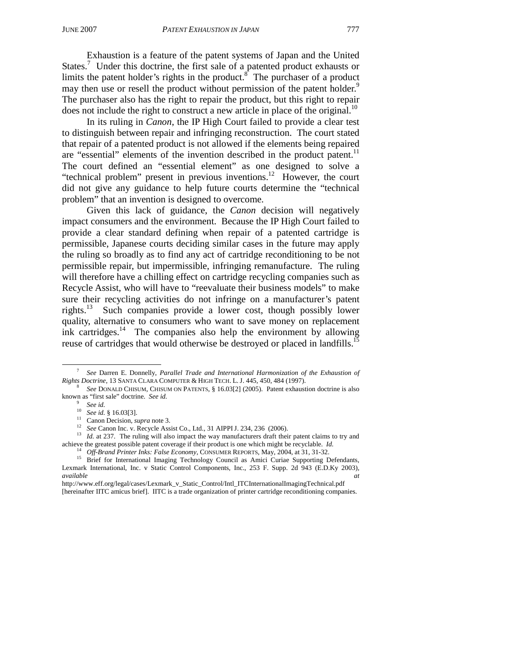Exhaustion is a feature of the patent systems of Japan and the United States.<sup>7</sup> Under this doctrine, the first sale of a patented product exhausts or limits the patent holder's rights in the product.<sup>8</sup> The purchaser of a product may then use or resell the product without permission of the patent holder.<sup>9</sup> The purchaser also has the right to repair the product, but this right to repair does not include the right to construct a new article in place of the original.<sup>10</sup>

In its ruling in *Canon*, the IP High Court failed to provide a clear test to distinguish between repair and infringing reconstruction. The court stated that repair of a patented product is not allowed if the elements being repaired are "essential" elements of the invention described in the product patent. $11$ The court defined an "essential element" as one designed to solve a "technical problem" present in previous inventions. $12$  However, the court did not give any guidance to help future courts determine the "technical problem" that an invention is designed to overcome.

Given this lack of guidance, the *Canon* decision will negatively impact consumers and the environment. Because the IP High Court failed to provide a clear standard defining when repair of a patented cartridge is permissible, Japanese courts deciding similar cases in the future may apply the ruling so broadly as to find any act of cartridge reconditioning to be not permissible repair, but impermissible, infringing remanufacture. The ruling will therefore have a chilling effect on cartridge recycling companies such as Recycle Assist, who will have to "reevaluate their business models" to make sure their recycling activities do not infringe on a manufacturer's patent rights.<sup>13</sup> Such companies provide a lower cost, though possibly lower quality, alternative to consumers who want to save money on replacement ink cartridges. $\frac{14}{10}$  The companies also help the environment by allowing reuse of cartridges that would otherwise be destroyed or placed in landfills.<sup>15</sup>

 <sup>7</sup> *See* Darren E. Donnelly, *Parallel Trade and International Harmonization of the Exhaustion of* 

*Rights Doctrine*, 13 SANTA CLARA COMPUTER & HIGH TECH. L. J. 445, 450, 484 (1997).<br><sup>8</sup> *See* DONALD CHISUM, CHISUM ON PATENTS, § 16.03[2] (2005). Patent exhaustion doctrine is also known as "first sale" doctrine. *See id.* 

<sup>&</sup>lt;sup>9</sup> See id.<br><sup>10</sup> See id. § 16.03[3].<br><sup>11</sup> Canon Decision, *supra* note 3.<br><sup>12</sup> See Canon Inc. v. Recycle Assist Co., Ltd., 31 AIPPI J. 234, 236 (2006).<br><sup>13</sup> Id. at 237. The ruling will also impact the way manufacturers dr achieve the greatest possible patent coverage if their product is one which might be recyclable. *Id.*<br><sup>14</sup> Off-Brand Printer Inks: False Economy, CONSUMER REPORTS, May, 2004, at 31, 31-32.<br><sup>15</sup> Brief for International Ima

Lexmark International, Inc. v Static Control Components, Inc., 253 F. Supp. 2d 943 (E.D.Ky 2003), *available at*

http://www.eff.org/legal/cases/Lexmark\_v\_Static\_Control/Intl\_ITCInternationalImagingTechnical.pdf [hereinafter IITC amicus brief]. IITC is a trade organization of printer cartridge reconditioning companies.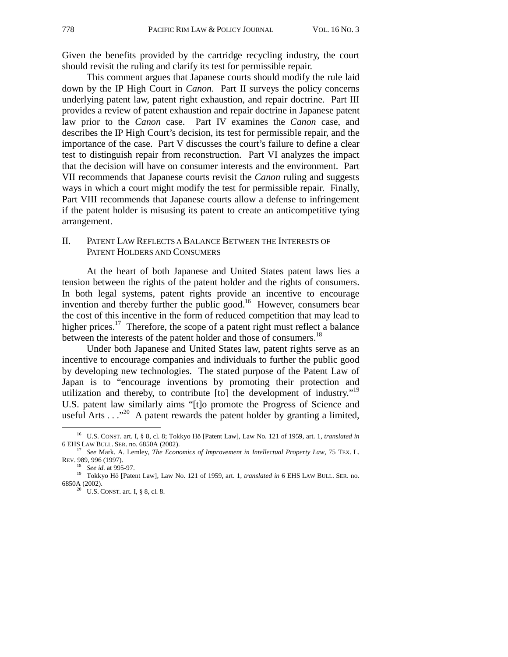Given the benefits provided by the cartridge recycling industry, the court should revisit the ruling and clarify its test for permissible repair.

This comment argues that Japanese courts should modify the rule laid down by the IP High Court in *Canon*. Part II surveys the policy concerns underlying patent law, patent right exhaustion, and repair doctrine. Part III provides a review of patent exhaustion and repair doctrine in Japanese patent law prior to the *Canon* case. Part IV examines the *Canon* case, and describes the IP High Court's decision, its test for permissible repair, and the importance of the case. Part V discusses the court's failure to define a clear test to distinguish repair from reconstruction. Part VI analyzes the impact that the decision will have on consumer interests and the environment. Part VII recommends that Japanese courts revisit the *Canon* ruling and suggests ways in which a court might modify the test for permissible repair. Finally, Part VIII recommends that Japanese courts allow a defense to infringement if the patent holder is misusing its patent to create an anticompetitive tying arrangement.

#### II. PATENT LAW REFLECTS A BALANCE BETWEEN THE INTERESTS OF PATENT HOLDERS AND CONSUMERS

At the heart of both Japanese and United States patent laws lies a tension between the rights of the patent holder and the rights of consumers. In both legal systems, patent rights provide an incentive to encourage invention and thereby further the public good.<sup>16</sup> However, consumers bear the cost of this incentive in the form of reduced competition that may lead to higher prices.<sup>17</sup> Therefore, the scope of a patent right must reflect a balance between the interests of the patent holder and those of consumers.<sup>18</sup>

Under both Japanese and United States law, patent rights serve as an incentive to encourage companies and individuals to further the public good by developing new technologies. The stated purpose of the Patent Law of Japan is to "encourage inventions by promoting their protection and utilization and thereby, to contribute  $[$ to $]$  the development of industry.<sup> $19$ </sup> U.S. patent law similarly aims "[t]o promote the Progress of Science and useful Arts . . ."<sup>20</sup> A patent rewards the patent holder by granting a limited,

 <sup>16</sup> U.S. CONST. art. I, § 8, cl. 8; Tokkyo H<sup>ō</sup> [Patent Law], Law No. 121 of 1959, art. 1, *translated in*

<sup>&</sup>lt;sup>17</sup> See Mark. A. Lemley, *The Economics of Improvement in Intellectual Property Law*, 75 TEX. L. REV. 989, 996 (1997).<br><sup>18</sup> See id. at 995-97.

<sup>&</sup>lt;sup>19</sup> Tokkyo Hō [Patent Law], Law No. 121 of 1959, art. 1, *translated in* 6 EHS LAW BULL. SER. no. 6850A (2002).<br><sup>20</sup> U.S. CONST. art. I, § 8, cl. 8.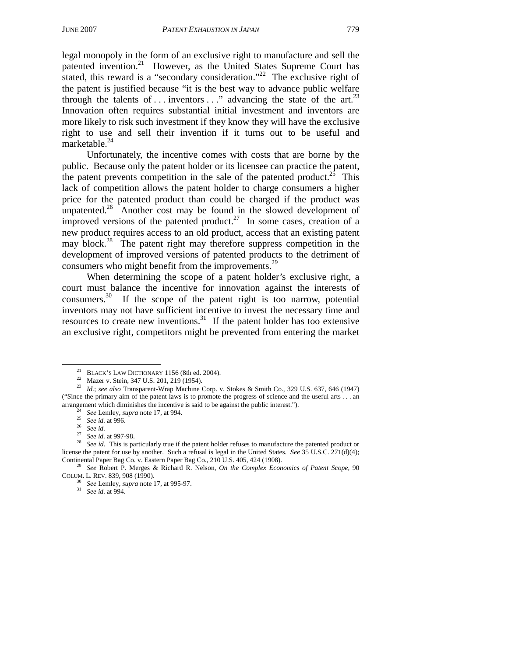legal monopoly in the form of an exclusive right to manufacture and sell the patented invention.<sup>21</sup> However, as the United States Supreme Court has stated, this reward is a "secondary consideration."<sup>22</sup> The exclusive right of the patent is justified because "it is the best way to advance public welfare through the talents of ... inventors  $\dots$  advancing the state of the art.<sup>23</sup> Innovation often requires substantial initial investment and inventors are more likely to risk such investment if they know they will have the exclusive right to use and sell their invention if it turns out to be useful and marketable.<sup>24</sup>

Unfortunately, the incentive comes with costs that are borne by the public. Because only the patent holder or its licensee can practice the patent, the patent prevents competition in the sale of the patented product.<sup>25</sup> This lack of competition allows the patent holder to charge consumers a higher price for the patented product than could be charged if the product was unpatented.<sup>26</sup> Another cost may be found in the slowed development of improved versions of the patented product.<sup>27</sup> In some cases, creation of a new product requires access to an old product, access that an existing patent may block.<sup>28</sup> The patent right may therefore suppress competition in the development of improved versions of patented products to the detriment of consumers who might benefit from the improvements.<sup>29</sup>

When determining the scope of a patent holder's exclusive right, a court must balance the incentive for innovation against the interests of consumers.30 If the scope of the patent right is too narrow, potential inventors may not have sufficient incentive to invest the necessary time and resources to create new inventions.<sup>31</sup> If the patent holder has too extensive an exclusive right, competitors might be prevented from entering the market

<sup>&</sup>lt;sup>21</sup> BLACK's LAW DICTIONARY 1156 (8th ed. 2004).<br><sup>22</sup> Mazer v. Stein, 347 U.S. 201, 219 (1954).

<sup>23</sup> *Id.*; *see also* Transparent-Wrap Machine Corp. v. Stokes & Smith Co., 329 U.S. 637, 646 (1947) ("Since the primary aim of the patent laws is to promote the progress of science and the useful arts . . . an arrangement which diminishes the incentive is said to be against the public interest.").<br>
<sup>24</sup> See Lemley, *supra* note 17, at 994.<br>
<sup>25</sup> See id. at 996.<br>
<sup>26</sup> See id. at 997-98.<br>
<sup>28</sup> See id. at 997-98.<br>
<sup>28</sup> See id. Thi

license the patent for use by another. Such a refusal is legal in the United States. *See* 35 U.S.C. 271(d)(4); Continental Paper Bag Co. v. Eastern Paper Bag Co., 210 U.S. 405, 424 (1908).

<sup>&</sup>lt;sup>29</sup> See Robert P. Merges & Richard R. Nelson, *On the Complex Economics of Patent Scope*, 90 COLUM. L. REV. 839, 908 (1990). 30 *See* Lemley, *supra* note 17, at 995-97. 31 *See id.* at 994.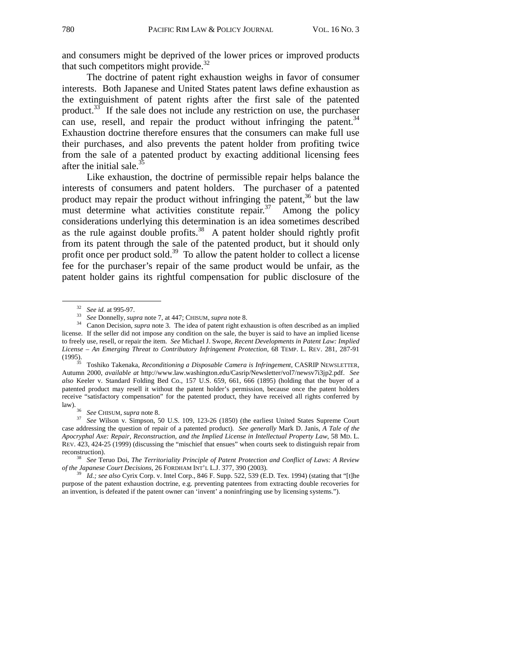and consumers might be deprived of the lower prices or improved products that such competitors might provide. $32$ 

The doctrine of patent right exhaustion weighs in favor of consumer interests. Both Japanese and United States patent laws define exhaustion as the extinguishment of patent rights after the first sale of the patented product.<sup>33</sup> If the sale does not include any restriction on use, the purchaser can use, resell, and repair the product without infringing the patent. $34$ Exhaustion doctrine therefore ensures that the consumers can make full use their purchases, and also prevents the patent holder from profiting twice from the sale of a patented product by exacting additional licensing fees after the initial sale. $3$ 

Like exhaustion, the doctrine of permissible repair helps balance the interests of consumers and patent holders. The purchaser of a patented product may repair the product without infringing the patent,<sup>36</sup> but the law must determine what activities constitute repair.<sup>37</sup> Among the policy must determine what activities constitute repair. $37$ considerations underlying this determination is an idea sometimes described as the rule against double profits.<sup>38</sup> A patent holder should rightly profit from its patent through the sale of the patented product, but it should only profit once per product sold.<sup>39</sup> To allow the patent holder to collect a license fee for the purchaser's repair of the same product would be unfair, as the patent holder gains its rightful compensation for public disclosure of the

(1995). 35 Toshiko Takenaka, *Reconditioning a Disposable Camera is Infringement*, CASRIP NEWSLETTER, Autumn 2000, *available at* http://www.law.washington.edu/Casrip/Newsletter/vol7/newsv7i3jp2.pdf. *See also* Keeler v. Standard Folding Bed Co., 157 U.S. 659, 661, 666 (1895) (holding that the buyer of a patented product may resell it without the patent holder's permission, because once the patent holders receive "satisfactory compensation" for the patented product, they have received all rights conferred by

law). 36 *See* CHISUM, *supra* note 8. 37 *See* Wilson v. Simpson, 50 U.S. 109, 123-26 (1850) (the earliest United States Supreme Court case addressing the question of repair of a patented product). *See generally* Mark D. Janis, *A Tale of the Apocryphal Axe: Repair, Reconstruction, and the Implied License in Intellectual Property Law*, 58 MD. L. REV. 423, 424-25 (1999) (discussing the "mischief that ensues" when courts seek to distinguish repair from reconstruction). 38 *See* Teruo Doi, *The Territoriality Principle of Patent Protection and Conflict of Laws: A Review* 

*of the Japanese Court Decisions*, 26 FORDHAM INT'L L.J. 377, 390 (2003). 39 *Id.; see also* Cyrix Corp. v. Intel Corp., 846 F. Supp. 522, 539 (E.D. Tex. 1994) (stating that "[t]he

purpose of the patent exhaustion doctrine, e.g. preventing patentees from extracting double recoveries for an invention, is defeated if the patent owner can 'invent' a noninfringing use by licensing systems.").

<sup>32</sup> *See id.* at 995-97. 33 *See* Donnelly, *supra* note 7, at 447; CHISUM, *supra* note 8. 34 Canon Decision, *supra* note 3. The idea of patent right exhaustion is often described as an implied license. If the seller did not impose any condition on the sale, the buyer is said to have an implied license to freely use, resell, or repair the item. *See* Michael J. Swope, *Recent Developments in Patent Law: Implied License – An Emerging Threat to Contributory Infringement Protection*, 68 TEMP. L. REV. 281, 287-91 (1995).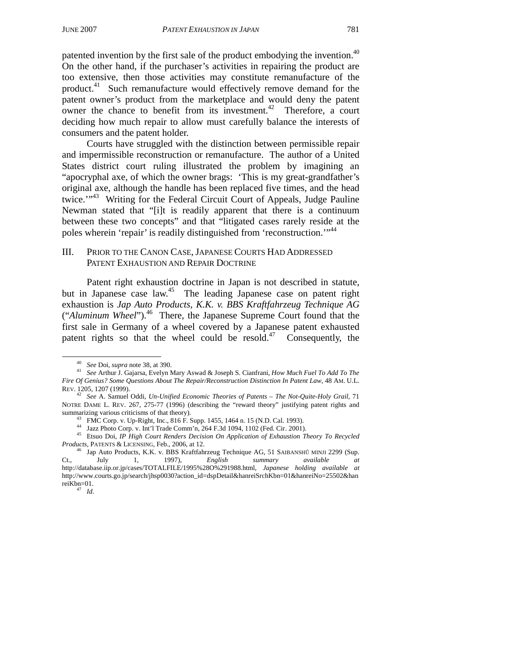patented invention by the first sale of the product embodying the invention.<sup>40</sup> On the other hand, if the purchaser's activities in repairing the product are too extensive, then those activities may constitute remanufacture of the product.41 Such remanufacture would effectively remove demand for the patent owner's product from the marketplace and would deny the patent owner the chance to benefit from its investment.<sup>42</sup> Therefore, a court deciding how much repair to allow must carefully balance the interests of consumers and the patent holder.

Courts have struggled with the distinction between permissible repair and impermissible reconstruction or remanufacture. The author of a United States district court ruling illustrated the problem by imagining an "apocryphal axe, of which the owner brags: 'This is my great-grandfather's original axe, although the handle has been replaced five times, and the head twice."<sup>43</sup> Writing for the Federal Circuit Court of Appeals, Judge Pauline Newman stated that "[i]t is readily apparent that there is a continuum between these two concepts" and that "litigated cases rarely reside at the poles wherein 'repair' is readily distinguished from 'reconstruction.'"<sup>44</sup>

# III. PRIOR TO THE CANON CASE, JAPANESE COURTS HAD ADDRESSED PATENT EXHAUSTION AND REPAIR DOCTRINE

Patent right exhaustion doctrine in Japan is not described in statute, but in Japanese case law.<sup>45</sup> The leading Japanese case on patent right exhaustion is *Jap Auto Products, K.K. v. BBS Kraftfahrzeug Technique AG* ("*Aluminum Wheel*").46 There, the Japanese Supreme Court found that the first sale in Germany of a wheel covered by a Japanese patent exhausted patent rights so that the wheel could be resold. $47$  Consequently, the

44 Jazz Photo Corp. v. Int'l Trade Comm'n, 264 F.3d 1094, 1102 (Fed. Cir. 2001).

<sup>40</sup> *See* Doi, *supra* note 38, at 390. 41 *See* Arthur J. Gajarsa, Evelyn Mary Aswad & Joseph S. Cianfrani, *How Much Fuel To Add To The Fire Of Genius? Some Questions About The Repair/Reconstruction Distinction In Patent Law*, 48 AM. U.L. REV. 1205, 1207 (1999).

<sup>42</sup> *See* A. Samuel Oddi, *Un-Unified Economic Theories of Patents – The Not-Quite-Holy Grail*, 71 NOTRE DAME L. REV. 267, 275-77 (1996) (describing the "reward theory" justifying patent rights and summarizing various criticisms of that theory).

FMC Corp. v. Up-Right, Inc., 816 F. Supp. 1455, 1464 n. 15 (N.D. Cal. 1993).

<sup>45</sup> Etsuo Doi, *IP High Court Renders Decision On Application of Exhaustion Theory To Recycled* 

*Products*, PATENTS & LICENSING, Feb., 2006, at 12.<br>
<sup>46</sup> Jap Auto Products, K.K. v. BBS Kraftfahrzeug Technique AG, 51 SAIBANSHŪ MINJI 2299 (Sup.<br>
Ct., July 1, 1997), *English summary available at* Ct., July 1, 1997), *English summary available at* http://database.iip.or.jp/cases/TOTALFILE/1995%28O%291988.html, *Japanese holding available at*  http://www.courts.go.jp/search/jhsp0030?action\_id=dspDetail&hanreiSrchKbn=01&hanreiNo=25502&han reiKbn=01. 47 *Id.*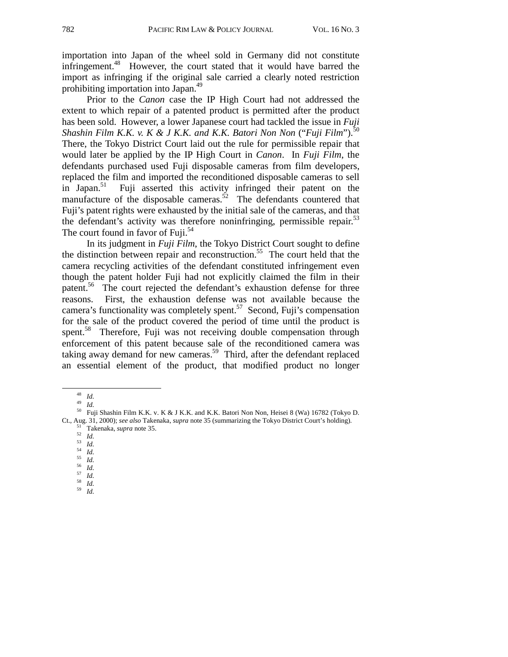importation into Japan of the wheel sold in Germany did not constitute infringement.<sup>48</sup> However, the court stated that it would have barred the import as infringing if the original sale carried a clearly noted restriction prohibiting importation into Japan.49

Prior to the *Canon* case the IP High Court had not addressed the extent to which repair of a patented product is permitted after the product has been sold. However, a lower Japanese court had tackled the issue in *Fuji Shashin Film K.K. v. K & J K.K. and K.K. Batori Non Non* ("*Fuji Film*").50 There, the Tokyo District Court laid out the rule for permissible repair that would later be applied by the IP High Court in *Canon*. In *Fuji Film*, the defendants purchased used Fuji disposable cameras from film developers, replaced the film and imported the reconditioned disposable cameras to sell<br>in Japan.<sup>51</sup> Fuil asserted this activity infringed their patent on the Fuji asserted this activity infringed their patent on the manufacture of the disposable cameras.<sup> $52$ </sup> The defendants countered that Fuji's patent rights were exhausted by the initial sale of the cameras, and that the defendant's activity was therefore noninfringing, permissible repair.<sup>53</sup> The court found in favor of Fuji.<sup>54</sup>

In its judgment in *Fuji Film*, the Tokyo District Court sought to define the distinction between repair and reconstruction.<sup>55</sup> The court held that the camera recycling activities of the defendant constituted infringement even though the patent holder Fuji had not explicitly claimed the film in their patent.<sup>56</sup> The court rejected the defendant's exhaustion defense for three reasons. First, the exhaustion defense was not available because the camera's functionality was completely spent.<sup>57</sup> Second, Fuji's compensation for the sale of the product covered the period of time until the product is spent.<sup>58</sup> Therefore, Fuji was not receiving double compensation through enforcement of this patent because sale of the reconditioned camera was taking away demand for new cameras.<sup>59</sup> Third, after the defendant replaced an essential element of the product, that modified product no longer

<sup>&</sup>lt;sup>48</sup> *Id.*<br><sup>49</sup> *Id.*<br><sup>50</sup> Fuji Shashin Film K.K. v. K & J K.K. and K.K. Batori Non Non, Heisei 8 (Wa) 16782 (Tokyo D.<br>Ct., Aug. 31, 2000); *see also* Takenaka, *supra* note 35 (summarizing the Tokyo District Court's holdi Ct., Aug. 31, 2000); see also Takenaka, supra note 35 (summarizing the Tokyo District Court's holding).<br>  $51$  Takenaka, supra note 35.<br>  $52$  Id.<br>  $53$  Id.<br>  $54$ <br>  $54$ <br>  $55$ <br>  $56$ <br>  $57$ <br>  $57$ <br>  $58$ <br>  $58$ <br>  $57$ <br>  $57$ <br>  $58$ <br>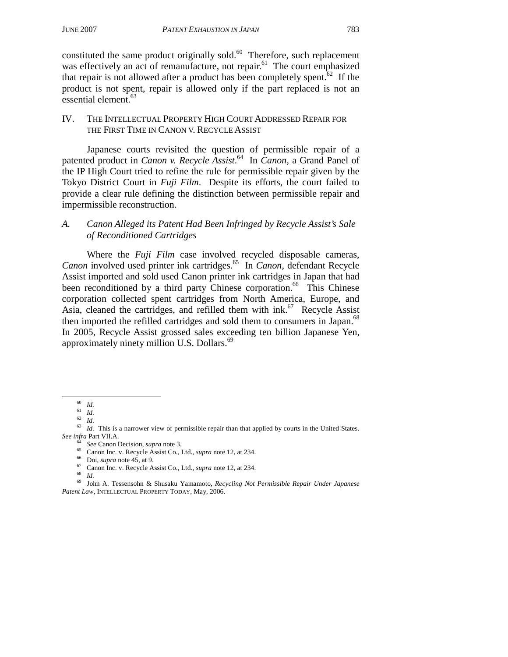constituted the same product originally sold. $60$  Therefore, such replacement was effectively an act of remanufacture, not repair.<sup>61</sup> The court emphasized that repair is not allowed after a product has been completely spent.<sup>62</sup> If the product is not spent, repair is allowed only if the part replaced is not an essential element.<sup>63</sup>

## IV. THE INTELLECTUAL PROPERTY HIGH COURT ADDRESSED REPAIR FOR THE FIRST TIME IN CANON V. RECYCLE ASSIST

Japanese courts revisited the question of permissible repair of a patented product in *Canon v. Recycle Assist*. 64 In *Canon*, a Grand Panel of the IP High Court tried to refine the rule for permissible repair given by the Tokyo District Court in *Fuji Film*. Despite its efforts, the court failed to provide a clear rule defining the distinction between permissible repair and impermissible reconstruction.

# *A. Canon Alleged its Patent Had Been Infringed by Recycle Assist's Sale of Reconditioned Cartridges*

Where the *Fuji Film* case involved recycled disposable cameras, *Canon* involved used printer ink cartridges.<sup>65</sup> In *Canon*, defendant Recycle Assist imported and sold used Canon printer ink cartridges in Japan that had been reconditioned by a third party Chinese corporation.<sup>66</sup> This Chinese corporation collected spent cartridges from North America, Europe, and Asia, cleaned the cartridges, and refilled them with  $ink<sup>67</sup>$  Recycle Assist then imported the refilled cartridges and sold them to consumers in Japan.<sup>68</sup> In 2005, Recycle Assist grossed sales exceeding ten billion Japanese Yen, approximately ninety million U.S. Dollars.<sup>69</sup>

<sup>&</sup>lt;sup>60</sup> *Id.*<br><sup>61</sup> *Id.*<br><sup>62</sup> *Id.*<br><sup>63</sup> *Id.* This is a narrower view of permissible repair than that applied by courts in the United States.<br>*See infra* Part VII.A.

<sup>&</sup>lt;sup>64</sup> *See* Canon Decision, *supra* note 3.<br><sup>65</sup> Canon Inc. v. Recycle Assist Co., Ltd., *supra* note 12, at 234.<br><sup>66</sup> Doi, *supra* note 45, at 9.<br><sup>67</sup> Canon Inc. v. Recycle Assist Co., Ltd., *supra* note 12, at 234.<br><sup>68</sup> *Patent Law*, INTELLECTUAL PROPERTY TODAY, May, 2006.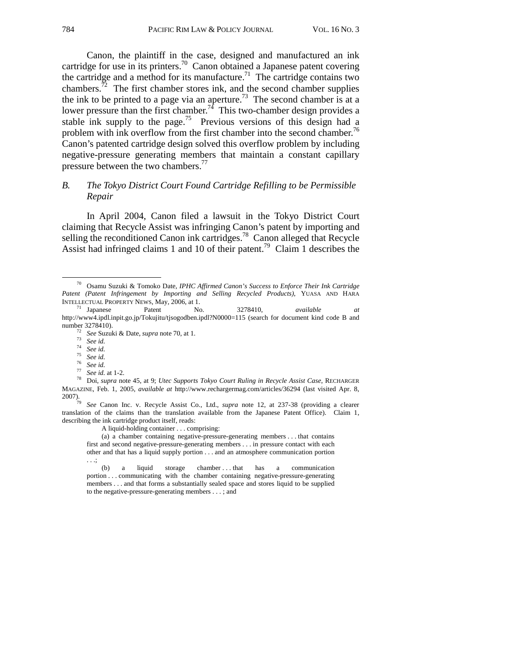Canon, the plaintiff in the case, designed and manufactured an ink cartridge for use in its printers.<sup>70</sup> Canon obtained a Japanese patent covering the cartridge and a method for its manufacture.<sup>71</sup> The cartridge contains two chambers. $\frac{72}{2}$  The first chamber stores ink, and the second chamber supplies the ink to be printed to a page via an aperture.<sup>73</sup> The second chamber is at a lower pressure than the first chamber.<sup>74</sup> This two-chamber design provides a stable ink supply to the page.<sup>75</sup> Previous versions of this design had a problem with ink overflow from the first chamber into the second chamber.<sup>76</sup> Canon's patented cartridge design solved this overflow problem by including negative-pressure generating members that maintain a constant capillary pressure between the two chambers.<sup>77</sup>

## *B. The Tokyo District Court Found Cartridge Refilling to be Permissible Repair*

In April 2004, Canon filed a lawsuit in the Tokyo District Court claiming that Recycle Assist was infringing Canon's patent by importing and selling the reconditioned Canon ink cartridges.<sup>78</sup> Canon alleged that Recycle Assist had infringed claims 1 and 10 of their patent.<sup>79</sup> Claim 1 describes the

- 
- 

2007). 79 *See* Canon Inc. v. Recycle Assist Co., Ltd., *supra* note 12, at 237-38 (providing a clearer translation of the claims than the translation available from the Japanese Patent Office). Claim 1, describing the ink cartridge product itself, reads:

A liquid-holding container . . . comprising:

(a) a chamber containing negative-pressure-generating members . . . that contains first and second negative-pressure-generating members . . . in pressure contact with each other and that has a liquid supply portion . . . and an atmosphere communication portion . . .;

(b) a liquid storage chamber ... that has a communication portion . . . communicating with the chamber containing negative-pressure-generating members . . . and that forms a substantially sealed space and stores liquid to be supplied to the negative-pressure-generating members . . . ; and

 <sup>70</sup> Osamu Suzuki & Tomoko Date, *IPHC Affirmed Canon's Success to Enforce Their Ink Cartridge Patent (Patent Infringement by Importing and Selling Recycled Products)*, YUASA AND HARA INTELLECTUAL PROPERTY NEWS, May, 2006, at 1. 71 Japanese Patent No. 3278410, *available at*

http://www4.ipdl.inpit.go.jp/Tokujitu/tjsogodben.ipdl?N0000=115 (search for document kind code B and number 3278410).<br>
<sup>72</sup> See Suzuki & Date, *supra* note 70, at 1.<br>
<sup>73</sup> See id.<br>
<sup>74</sup> See id.<br>
<sup>75</sup> See id.<br>
<sup>75</sup> See id.<br>
<sup>76</sup> See id.<br>
<sup>77</sup> See id. at 1-2.<br>
<sup>77</sup> See id. at 1-2.<br>
<sup>78</sup> Doi, *supra* note 45, at 9; *Utec Su* 

MAGAZINE, Feb. 1, 2005, *available at* http://www.rechargermag.com/articles/36294 (last visited Apr. 8, 2007).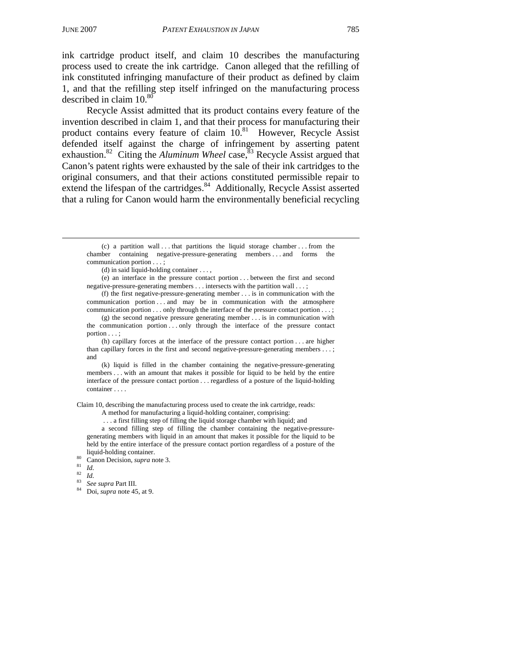ink cartridge product itself, and claim 10 describes the manufacturing process used to create the ink cartridge. Canon alleged that the refilling of ink constituted infringing manufacture of their product as defined by claim 1, and that the refilling step itself infringed on the manufacturing process described in claim  $10^{80}$ 

Recycle Assist admitted that its product contains every feature of the invention described in claim 1, and that their process for manufacturing their product contains every feature of claim  $10^{81}$  However, Recycle Assist defended itself against the charge of infringement by asserting patent exhaustion.<sup>82</sup> Citing the *Aluminum Wheel* case,<sup>83</sup> Recycle Assist argued that Canon's patent rights were exhausted by the sale of their ink cartridges to the original consumers, and that their actions constituted permissible repair to extend the lifespan of the cartridges.<sup>84</sup> Additionally, Recycle Assist asserted that a ruling for Canon would harm the environmentally beneficial recycling

(d) in said liquid-holding container . . . ,

(e) an interface in the pressure contact portion . . . between the first and second negative-pressure-generating members . . . intersects with the partition wall . . . ;

(f) the first negative-pressure-generating member . . . is in communication with the communication portion . . . and may be in communication with the atmosphere communication portion . . . only through the interface of the pressure contact portion . . . ;

(g) the second negative pressure generating member . . . is in communication with the communication portion  $\dots$  only through the interface of the pressure contact portion . . . ;

(h) capillary forces at the interface of the pressure contact portion . . . are higher than capillary forces in the first and second negative-pressure-generating members . . . ; and

(k) liquid is filled in the chamber containing the negative-pressure-generating members . . . with an amount that makes it possible for liquid to be held by the entire interface of the pressure contact portion . . . regardless of a posture of the liquid-holding container . . . .

Claim 10, describing the manufacturing process used to create the ink cartridge, reads:

A method for manufacturing a liquid-holding container, comprising:

. . . a first filling step of filling the liquid storage chamber with liquid; and

a second filling step of filling the chamber containing the negative-pressuregenerating members with liquid in an amount that makes it possible for the liquid to be held by the entire interface of the pressure contact portion regardless of a posture of the liquid-holding container. 80 Canon Decision, *supra* note 3. <sup>81</sup> *Id.* <sup>82</sup> *Id.* <sup>83</sup> *See supra* Part III. 84 Doi, *supra* note 45, at 9.

- 
- 
- 

 <sup>(</sup>c) a partition wall . . . that partitions the liquid storage chamber . . . from the chamber containing negative-pressure-generating members . . . and forms the communication portion . . . ;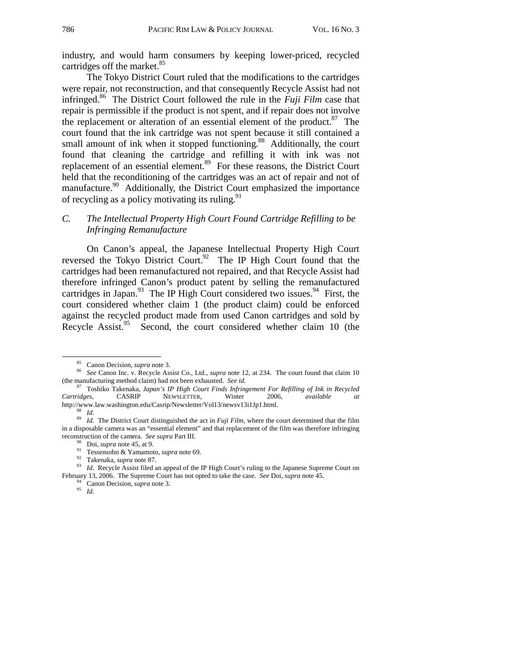industry, and would harm consumers by keeping lower-priced, recycled cartridges off the market.<sup>85</sup>

The Tokyo District Court ruled that the modifications to the cartridges were repair, not reconstruction, and that consequently Recycle Assist had not infringed.86 The District Court followed the rule in the *Fuji Film* case that repair is permissible if the product is not spent, and if repair does not involve the replacement or alteration of an essential element of the product.<sup>87</sup> The court found that the ink cartridge was not spent because it still contained a small amount of ink when it stopped functioning.<sup>88</sup> Additionally, the court found that cleaning the cartridge and refilling it with ink was not replacement of an essential element.<sup>89</sup> For these reasons, the District Court held that the reconditioning of the cartridges was an act of repair and not of manufacture.<sup>90</sup> Additionally, the District Court emphasized the importance of recycling as a policy motivating its ruling. $91$ 

# *C. The Intellectual Property High Court Found Cartridge Refilling to be Infringing Remanufacture*

On Canon's appeal, the Japanese Intellectual Property High Court reversed the Tokyo District Court.<sup>92</sup> The IP High Court found that the cartridges had been remanufactured not repaired, and that Recycle Assist had therefore infringed Canon's product patent by selling the remanufactured cartridges in Japan.<sup>93</sup> The IP High Court considered two issues.<sup>94</sup> First, the court considered whether claim 1 (the product claim) could be enforced against the recycled product made from used Canon cartridges and sold by Recycle Assist.<sup>95</sup> Second, the court considered whether claim 10 (the

 <sup>85</sup> Canon Decision, *supra* note 3. <sup>86</sup> *See* Canon Inc. v. Recycle Assist Co., Ltd., *supra* note 12, at 234. The court found that claim 10

<sup>(</sup>the manufacturing method claim) had not been exhausted. *See id.* 87 Toshiko Takenaka, *Japan's IP High Court Finds Infringement For Refilling of Ink in Recycled*  **NEWSLETTER,** Winter 2006, *available at* 

http://www.law.washington.edu/Casrip/Newsletter/Vol13/newsv13i1Jp1.html.<br><sup>88</sup> *Id.* The District Court distinguished the act in *Fuji Film*, where the court determined that the film<br><sup>89</sup> *Id.* The District Court distinguis in a disposable camera was an "essential element" and that replacement of the film was therefore infringing

reconstruction of the camera. *See supra* Part III.<br>
<sup>90</sup> Doi, *supra* note 45, at 9.<br>
<sup>91</sup> Tessensohn & Yamamoto, *supra* note 69.<br>
<sup>92</sup> Takenaka, *supra* note 87.<br>
<sup>93</sup> Id. Recycle Assist filed an appeal of the IP High February 13, 2006. The Supreme Court has not opted to take the case. *See* Doi, *supra* note 45. <sup>94</sup> Canon Decision, *supra* note 3.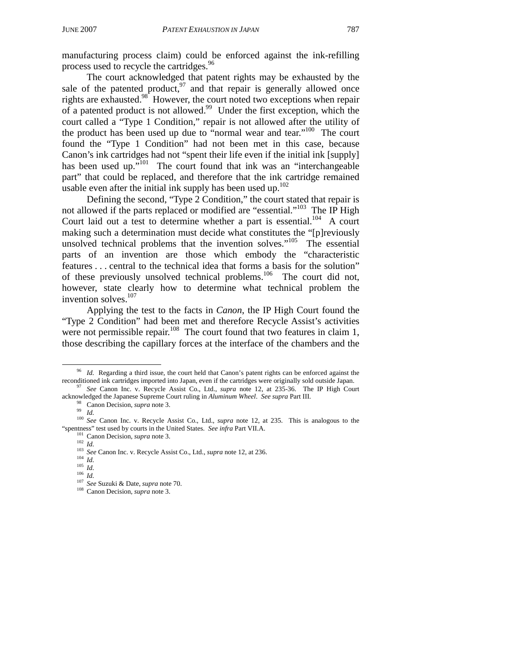manufacturing process claim) could be enforced against the ink-refilling process used to recycle the cartridges.<sup>96</sup>

The court acknowledged that patent rights may be exhausted by the sale of the patented product,  $97$  and that repair is generally allowed once rights are exhausted.<sup>98</sup> However, the court noted two exceptions when repair of a patented product is not allowed.99 Under the first exception, which the court called a "Type 1 Condition," repair is not allowed after the utility of the product has been used up due to "normal wear and tear."<sup>100</sup> The court found the "Type 1 Condition" had not been met in this case, because Canon's ink cartridges had not "spent their life even if the initial ink [supply] has been used up."<sup>101</sup> The court found that ink was an "interchangeable" part" that could be replaced, and therefore that the ink cartridge remained usable even after the initial ink supply has been used up. $102$ 

Defining the second, "Type 2 Condition," the court stated that repair is not allowed if the parts replaced or modified are "essential."<sup>103</sup> The IP High Court laid out a test to determine whether a part is essential.<sup>104</sup> A court making such a determination must decide what constitutes the "[p]reviously unsolved technical problems that the invention solves."<sup>105</sup> The essential parts of an invention are those which embody the "characteristic features . . . central to the technical idea that forms a basis for the solution" of these previously unsolved technical problems.<sup>106</sup> The court did not, however, state clearly how to determine what technical problem the invention solves.<sup>107</sup>

Applying the test to the facts in *Canon*, the IP High Court found the "Type 2 Condition" had been met and therefore Recycle Assist's activities were not permissible repair.<sup>108</sup> The court found that two features in claim 1, those describing the capillary forces at the interface of the chambers and the

<sup>&</sup>lt;sup>96</sup> *Id.* Regarding a third issue, the court held that Canon's patent rights can be enforced against the reconditioned ink cartridges imported into Japan, even if the cartridges were originally sold outside Japan.<br><sup>97</sup> *See* Canon Inc. v. Recycle Assist Co., Ltd., *supra* note 12, at 235-36. The IP High Court acknowledged the

<sup>&</sup>lt;sup>98</sup> Canon Decision, *supra* note 3.<br><sup>99</sup> Id.<br><sup>100</sup> See Canon Inc. v. Recycle Assist Co., Ltd., *supra* note 12, at 235. This is analogous to the "spentness" test used by courts in the United States. See infra Part VII.A.

<sup>&</sup>lt;sup>101</sup> Canon Decision, *supra* note 3.<br>
<sup>102</sup> *Id.*<br>
<sup>103</sup> *See* Canon Inc. v. Recycle Assist Co., Ltd., *supra* note 12, at 236.<br>
<sup>104</sup> *Id.*<br>
<sup>105</sup> *Id.*<br>
<sup>107</sup> *See* Suzuki & Date, *supra* note 70.<br>
<sup>108</sup> Canon Decision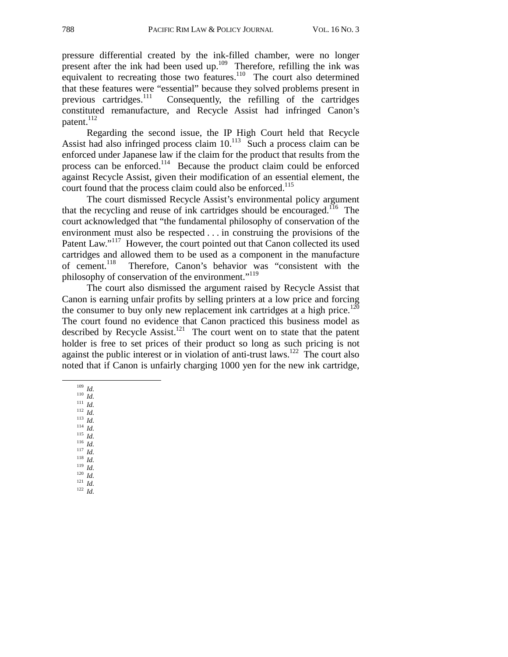pressure differential created by the ink-filled chamber, were no longer present after the ink had been used up.<sup>109</sup> Therefore, refilling the ink was equivalent to recreating those two features.<sup>110</sup> The court also determined that these features were "essential" because they solved problems present in previous cartridges.111 Consequently, the refilling of the cartridges constituted remanufacture, and Recycle Assist had infringed Canon's patent.<sup>112</sup>

Regarding the second issue, the IP High Court held that Recycle Assist had also infringed process claim  $10^{113}$  Such a process claim can be enforced under Japanese law if the claim for the product that results from the process can be enforced.<sup>114</sup> Because the product claim could be enforced against Recycle Assist, given their modification of an essential element, the court found that the process claim could also be enforced.<sup>115</sup>

The court dismissed Recycle Assist's environmental policy argument that the recycling and reuse of ink cartridges should be encouraged.<sup>116</sup> The court acknowledged that "the fundamental philosophy of conservation of the environment must also be respected . . . in construing the provisions of the Patent Law."<sup>117</sup> However, the court pointed out that Canon collected its used cartridges and allowed them to be used as a component in the manufacture of cement.<sup>118</sup> Therefore. Canon's behavior was "consistent with the Therefore, Canon's behavior was "consistent with the philosophy of conservation of the environment."<sup>119</sup>

The court also dismissed the argument raised by Recycle Assist that Canon is earning unfair profits by selling printers at a low price and forcing the consumer to buy only new replacement ink cartridges at a high price.<sup>120</sup> The court found no evidence that Canon practiced this business model as described by Recycle Assist.<sup>121</sup> The court went on to state that the patent holder is free to set prices of their product so long as such pricing is not against the public interest or in violation of anti-trust laws.<sup>122</sup> The court also noted that if Canon is unfairly charging 1000 yen for the new ink cartridge,

- 
- 109 *Id.* 110 *Id.* 111 *Id.* 112 *Id.* 113 *Id.* 114 *Id.* 115 *Id.* 116 *Id.* 117 *Id.* 118 *Id.* 119 *Id.* 120 *Id.* 121 *Id.* 122 *Id.*
	-
	-
	-
	-
	-
	-
	-
	-
	-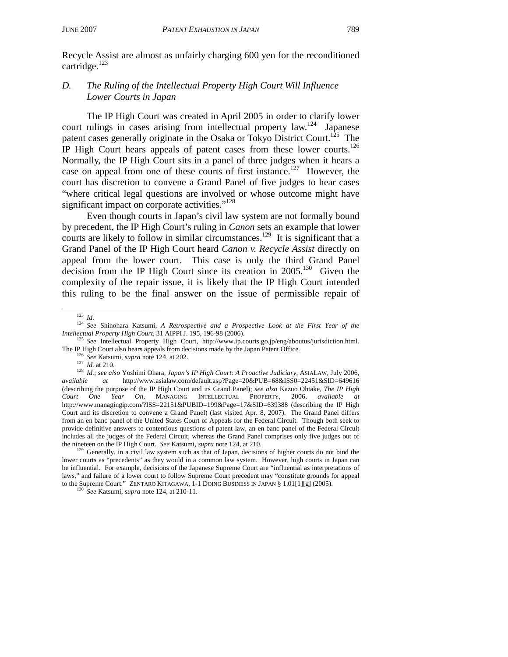Recycle Assist are almost as unfairly charging 600 yen for the reconditioned cartridge.<sup>123</sup>

# *D. The Ruling of the Intellectual Property High Court Will Influence Lower Courts in Japan*

The IP High Court was created in April 2005 in order to clarify lower court rulings in cases arising from intellectual property law.<sup>124</sup> Japanese patent cases generally originate in the Osaka or Tokyo District Court.<sup>125</sup> The IP High Court hears appeals of patent cases from these lower courts.126 Normally, the IP High Court sits in a panel of three judges when it hears a case on appeal from one of these courts of first instance.<sup>127</sup> However, the court has discretion to convene a Grand Panel of five judges to hear cases "where critical legal questions are involved or whose outcome might have significant impact on corporate activities."<sup>128</sup>

Even though courts in Japan's civil law system are not formally bound by precedent, the IP High Court's ruling in *Canon* sets an example that lower courts are likely to follow in similar circumstances.<sup>129</sup> It is significant that a Grand Panel of the IP High Court heard *Canon v. Recycle Assist* directly on appeal from the lower court. This case is only the third Grand Panel decision from the IP High Court since its creation in  $2005$ <sup>130</sup> Given the complexity of the repair issue, it is likely that the IP High Court intended this ruling to be the final answer on the issue of permissible repair of

lower courts as "precedents" as they would in a common law system. However, high courts in Japan can be influential. For example, decisions of the Japanese Supreme Court are "influential as interpretations of laws," and failure of a lower court to follow Supreme Court precedent may "constitute grounds for appeal to the Supreme Court." ZENTARO KITAGAWA, 1-1 DOING BUSINESS IN JAPAN § 1.01[1][g] (2005). 130 *See* Katsumi, *supra* note 124, at 210-11.

<sup>123</sup> *Id.* <sup>124</sup> *See* Shinohara Katsumi, *A Retrospective and a Prospective Look at the First Year of the Intellectual Property High Court*, 31 AIPPI J. 195, 196-98 (2006).<br><sup>125</sup> *See* Intellectual Property High Court, http://www.ip.courts.go.jp/eng/aboutus/jurisdiction.html.

The IP High Court also hears appeals from decisions made by the Japan Patent Office.<br><sup>126</sup> See Katsumi, *supra* note 124, at 202.<br><sup>127</sup> *Id.* at 210.<br><sup>128</sup> *Id.*; *see also* Yoshimi Ohara, *Japan's IP High Court: A Proacti available at* http://www.asialaw.com/default.asp?Page=20&PUB=68&ISS0=22451&SID=649616 (describing the purpose of the IP High Court and its Grand Panel); *see also* Kazuo Ohtake, *The IP High Court One Year On*, MANAGING INTELLECTUAL PROPERTY, 2006, *available at* http://www.managingip.com/?ISS=22151&PUBID=199&Page=17&SID=639388 (describing the IP High Court and its discretion to convene a Grand Panel) (last visited Apr. 8, 2007). The Grand Panel differs from an en banc panel of the United States Court of Appeals for the Federal Circuit. Though both seek to provide definitive answers to contentious questions of patent law, an en banc panel of the Federal Circuit includes all the judges of the Federal Circuit, whereas the Grand Panel comprises only five judges out of the nineteen on the IP High Court. *See* Katsumi, *supra* note 124, at 210.<br><sup>129</sup> Generally, in a civil law system such as that of Japan, decisions of higher courts do not bind the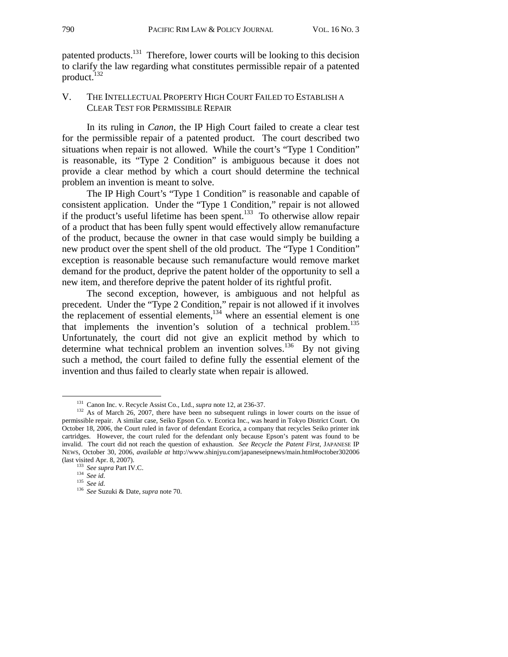patented products.<sup>131</sup> Therefore, lower courts will be looking to this decision to clarify the law regarding what constitutes permissible repair of a patented product.<sup>132</sup>

#### V. THE INTELLECTUAL PROPERTY HIGH COURT FAILED TO ESTABLISH A CLEAR TEST FOR PERMISSIBLE REPAIR

In its ruling in *Canon*, the IP High Court failed to create a clear test for the permissible repair of a patented product. The court described two situations when repair is not allowed. While the court's "Type 1 Condition" is reasonable, its "Type 2 Condition" is ambiguous because it does not provide a clear method by which a court should determine the technical problem an invention is meant to solve.

The IP High Court's "Type 1 Condition" is reasonable and capable of consistent application. Under the "Type 1 Condition," repair is not allowed if the product's useful lifetime has been spent.<sup>133</sup> To otherwise allow repair of a product that has been fully spent would effectively allow remanufacture of the product, because the owner in that case would simply be building a new product over the spent shell of the old product. The "Type 1 Condition" exception is reasonable because such remanufacture would remove market demand for the product, deprive the patent holder of the opportunity to sell a new item, and therefore deprive the patent holder of its rightful profit.

The second exception, however, is ambiguous and not helpful as precedent. Under the "Type 2 Condition," repair is not allowed if it involves the replacement of essential elements,<sup>134</sup> where an essential element is one that implements the invention's solution of a technical problem.<sup>135</sup> Unfortunately, the court did not give an explicit method by which to determine what technical problem an invention solves.<sup>136</sup> By not giving such a method, the court failed to define fully the essential element of the invention and thus failed to clearly state when repair is allowed.

<sup>&</sup>lt;sup>131</sup> Canon Inc. v. Recycle Assist Co., Ltd., *supra* note 12, at 236-37.<br><sup>132</sup> As of March 26, 2007, there have been no subsequent rulings in lower courts on the issue of permissible repair. A similar case, Seiko Epson Co. v. Ecorica Inc., was heard in Tokyo District Court. On October 18, 2006, the Court ruled in favor of defendant Ecorica, a company that recycles Seiko printer ink cartridges. However, the court ruled for the defendant only because Epson's patent was found to be invalid. The court did not reach the question of exhaustion. *See Recycle the Patent First*, JAPANESE IP NEWS, October 30, 2006, *available at* http://www.shinjyu.com/japaneseipnews/main.html#october302006

<sup>(</sup>last visited Apr. 8, 2007). 133 *See supra* Part IV.C. 134 *See id.* <sup>135</sup> *See id.* <sup>136</sup> *See* Suzuki & Date, *supra* note 70.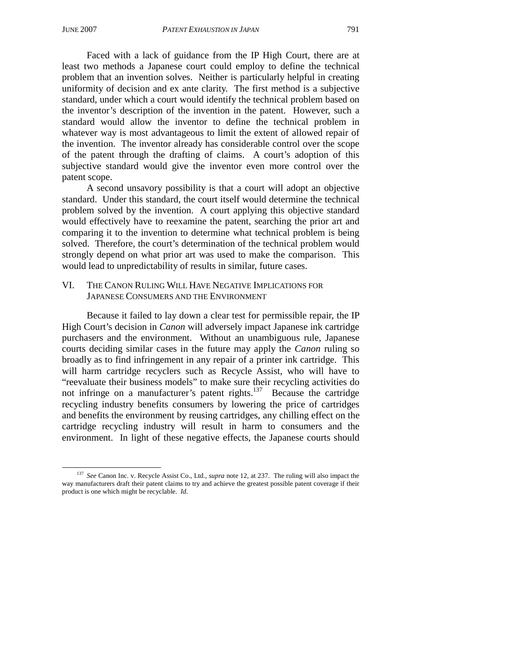Faced with a lack of guidance from the IP High Court, there are at least two methods a Japanese court could employ to define the technical problem that an invention solves. Neither is particularly helpful in creating uniformity of decision and ex ante clarity. The first method is a subjective standard, under which a court would identify the technical problem based on the inventor's description of the invention in the patent. However, such a standard would allow the inventor to define the technical problem in whatever way is most advantageous to limit the extent of allowed repair of the invention. The inventor already has considerable control over the scope of the patent through the drafting of claims. A court's adoption of this subjective standard would give the inventor even more control over the patent scope.

A second unsavory possibility is that a court will adopt an objective standard. Under this standard, the court itself would determine the technical problem solved by the invention. A court applying this objective standard would effectively have to reexamine the patent, searching the prior art and comparing it to the invention to determine what technical problem is being solved. Therefore, the court's determination of the technical problem would strongly depend on what prior art was used to make the comparison. This would lead to unpredictability of results in similar, future cases.

#### VI. THE CANON RULING WILL HAVE NEGATIVE IMPLICATIONS FOR JAPANESE CONSUMERS AND THE ENVIRONMENT

Because it failed to lay down a clear test for permissible repair, the IP High Court's decision in *Canon* will adversely impact Japanese ink cartridge purchasers and the environment. Without an unambiguous rule, Japanese courts deciding similar cases in the future may apply the *Canon* ruling so broadly as to find infringement in any repair of a printer ink cartridge. This will harm cartridge recyclers such as Recycle Assist, who will have to "reevaluate their business models" to make sure their recycling activities do not infringe on a manufacturer's patent rights.<sup>137</sup> Because the cartridge recycling industry benefits consumers by lowering the price of cartridges and benefits the environment by reusing cartridges, any chilling effect on the cartridge recycling industry will result in harm to consumers and the environment. In light of these negative effects, the Japanese courts should

 <sup>137</sup> *See* Canon Inc. v. Recycle Assist Co., Ltd., *supra* note 12, at 237. The ruling will also impact the way manufacturers draft their patent claims to try and achieve the greatest possible patent coverage if their product is one which might be recyclable. *Id.*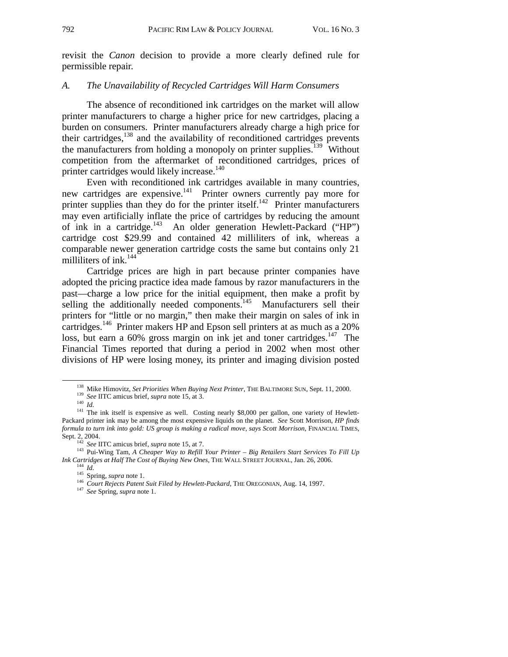revisit the *Canon* decision to provide a more clearly defined rule for permissible repair.

#### *A. The Unavailability of Recycled Cartridges Will Harm Consumers*

The absence of reconditioned ink cartridges on the market will allow printer manufacturers to charge a higher price for new cartridges, placing a burden on consumers. Printer manufacturers already charge a high price for their cartridges, $138$  and the availability of reconditioned cartridges prevents the manufacturers from holding a monopoly on printer supplies.<sup>139</sup> Without competition from the aftermarket of reconditioned cartridges, prices of printer cartridges would likely increase.<sup>140</sup>

Even with reconditioned ink cartridges available in many countries, new cartridges are expensive.<sup>141</sup> Printer owners currently pay more for printer supplies than they do for the printer itself.<sup>142</sup> Printer manufacturers may even artificially inflate the price of cartridges by reducing the amount of ink in a cartridge.<sup>143</sup> An older generation Hewlett-Packard ("HP") cartridge cost \$29.99 and contained 42 milliliters of ink, whereas a comparable newer generation cartridge costs the same but contains only 21 milliliters of ink.<sup>144</sup>

Cartridge prices are high in part because printer companies have adopted the pricing practice idea made famous by razor manufacturers in the past—charge a low price for the initial equipment, then make a profit by selling the additionally needed components.<sup>145</sup> Manufacturers sell their printers for "little or no margin," then make their margin on sales of ink in cartridges.146 Printer makers HP and Epson sell printers at as much as a 20% loss, but earn a 60% gross margin on ink jet and toner cartridges.<sup>147</sup> The Financial Times reported that during a period in 2002 when most other divisions of HP were losing money, its printer and imaging division posted

<sup>&</sup>lt;sup>138</sup> Mike Himovitz, *Set Priorities When Buying Next Printer*, THE BALTIMORE SUN, Sept. 11, 2000.<br><sup>139</sup> *See* IITC amicus brief, *supra* note 15, at 3.<br><sup>140</sup> *Id.*<br><sup>141</sup> The ink itself is expensive as well. Costing nearl

Packard printer ink may be among the most expensive liquids on the planet. *See* Scott Morrison, *HP finds formula to turn ink into gold: US group is making a radical move, says Scott Morrison*, FINANCIAL TIMES,

Sept. 2, 2004.<br><sup>142</sup> *See* IITC amicus brief, *supra* note 15, at 7.<br><sup>143</sup> Pui-Wing Tam, *A Cheaper Way to Refill Your Printer – Big Retailers Start Services To Fill Up Ink Cartridges at Half The Cost of Buying New Ones, T* 

<sup>&</sup>lt;sup>145</sup> Spring, *supra* note 1.<br><sup>145</sup> Spring, *supra* note 1.<br><sup>146</sup> Court Rejects Patent Suit Filed by Hewlett-Packard, THE OREGONIAN, Aug. 14, 1997.<br><sup>147</sup> See Spring, *supra* note 1.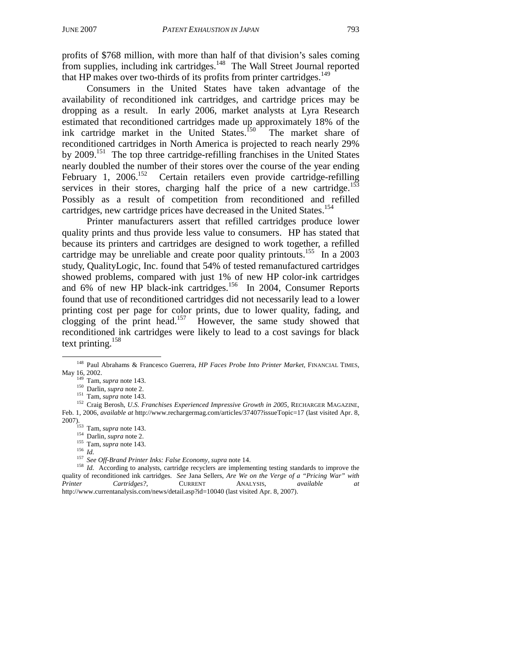profits of \$768 million, with more than half of that division's sales coming from supplies, including ink cartridges.148 The Wall Street Journal reported that HP makes over two-thirds of its profits from printer cartridges.<sup>149</sup>

Consumers in the United States have taken advantage of the availability of reconditioned ink cartridges, and cartridge prices may be dropping as a result. In early 2006, market analysts at Lyra Research estimated that reconditioned cartridges made up approximately 18% of the ink cartridge market in the United States.<sup>150</sup> The market share of reconditioned cartridges in North America is projected to reach nearly 29% by 2009.151 The top three cartridge-refilling franchises in the United States nearly doubled the number of their stores over the course of the year ending February 1, 2006.<sup>152</sup> Certain retailers even provide cartridge-refilling services in their stores, charging half the price of a new cartridge.<sup>153</sup> Possibly as a result of competition from reconditioned and refilled cartridges, new cartridge prices have decreased in the United States.<sup>154</sup>

Printer manufacturers assert that refilled cartridges produce lower quality prints and thus provide less value to consumers. HP has stated that because its printers and cartridges are designed to work together, a refilled cartridge may be unreliable and create poor quality printouts.<sup>155</sup> In a 2003 study, QualityLogic, Inc. found that 54% of tested remanufactured cartridges showed problems, compared with just 1% of new HP color-ink cartridges and 6% of new HP black-ink cartridges.<sup>156</sup> In 2004, Consumer Reports found that use of reconditioned cartridges did not necessarily lead to a lower printing cost per page for color prints, due to lower quality, fading, and clogging of the print head.<sup>157</sup> However, the same study showed that reconditioned ink cartridges were likely to lead to a cost savings for black text printing.158

<sup>&</sup>lt;sup>148</sup> Paul Abrahams & Francesco Guerrera, *HP Faces Probe Into Printer Market*, FINANCIAL TIMES, May 16, 2002.

May 16, 2002. 149 Tam, *supra* note 143.<br><sup>150</sup> Darlin, *supra* note 2.<br><sup>151</sup> Tam, *supra* note 143.<br><sup>152</sup> Craig Berosh, *U.S. Franchises Experienced Impressive Growth in 2005*, RECHARGER MAGAZINE, Feb. 1, 2006, *available at* http://www.rechargermag.com/articles/37407?issueTopic=17 (last visited Apr. 8,

<sup>154&</sup>lt;br>
155 Iam, *supra* note 2.<br>
155 Iam, *supra* note 143.<br>
155 *Iam, supra* note 143.<br>
157 *See Off-Brand Printer Inks: False Economy, supra* note 14.<br>
<sup>157</sup> *See Off-Brand Printer Inks: False Economy, supra* note 14.<br>
<sup>1</sup> quality of reconditioned ink cartridges. *See* Jana Sellers, *Are We on the Verge of a "Pricing War" with Printer Cartridges?*, CURRENT ANALYSIS, *available at* http://www.currentanalysis.com/news/detail.asp?id=10040 (last visited Apr. 8, 2007).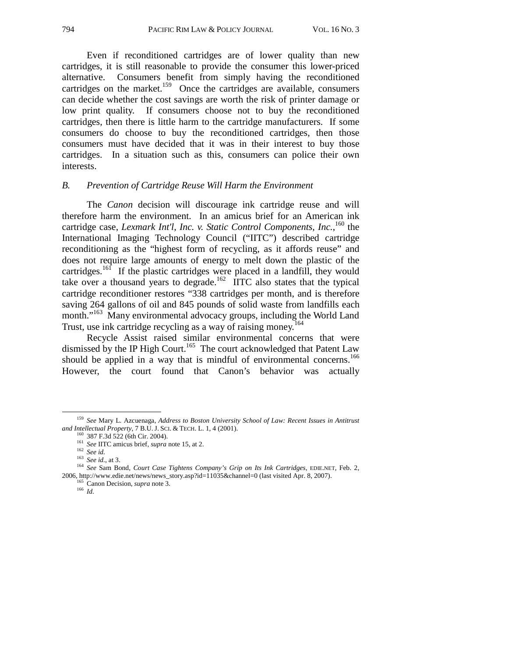Even if reconditioned cartridges are of lower quality than new cartridges, it is still reasonable to provide the consumer this lower-priced alternative. Consumers benefit from simply having the reconditioned cartridges on the market.<sup>159</sup> Once the cartridges are available, consumers can decide whether the cost savings are worth the risk of printer damage or low print quality. If consumers choose not to buy the reconditioned cartridges, then there is little harm to the cartridge manufacturers. If some consumers do choose to buy the reconditioned cartridges, then those consumers must have decided that it was in their interest to buy those cartridges. In a situation such as this, consumers can police their own interests.

#### *B. Prevention of Cartridge Reuse Will Harm the Environment*

The *Canon* decision will discourage ink cartridge reuse and will therefore harm the environment. In an amicus brief for an American ink cartridge case, *Lexmark Int'l, Inc. v. Static Control Components, Inc.*, <sup>160</sup> the International Imaging Technology Council ("IITC") described cartridge reconditioning as the "highest form of recycling, as it affords reuse" and does not require large amounts of energy to melt down the plastic of the cartridges.<sup>161</sup> If the plastic cartridges were placed in a landfill, they would take over a thousand years to degrade.<sup>162</sup> IITC also states that the typical cartridge reconditioner restores "338 cartridges per month, and is therefore saving 264 gallons of oil and 845 pounds of solid waste from landfills each month."<sup>163</sup> Many environmental advocacy groups, including the World Land Trust, use ink cartridge recycling as a way of raising money.<sup>164</sup>

Recycle Assist raised similar environmental concerns that were dismissed by the IP High Court.<sup>165</sup> The court acknowledged that Patent Law should be applied in a way that is mindful of environmental concerns.<sup>166</sup> However, the court found that Canon's behavior was actually

 <sup>159</sup> *See* Mary L. Azcuenaga, *Address to Boston University School of Law: Recent Issues in Antitrust* 

<sup>&</sup>lt;sup>160</sup> 387 F.3d 522 (6th Cir. 2004).<br><sup>161</sup> *See* IITC amicus brief, *supra* note 15, at 2.<br><sup>162</sup> *See id.*, at 3.<br><sup>163</sup> *See id.*, at 3.<br><sup>164</sup> *See Sam Bond, Court Case Tightens Company's Grip on Its Ink Cartridges, EDIE.N* 2006, http://www.edie.net/news/news\_story.asp?id=11035&channel=0 (last visited Apr. 8, 2007).<br><sup>165</sup> Canon Decision, *supra* note 3.<br><sup>166</sup> *Id*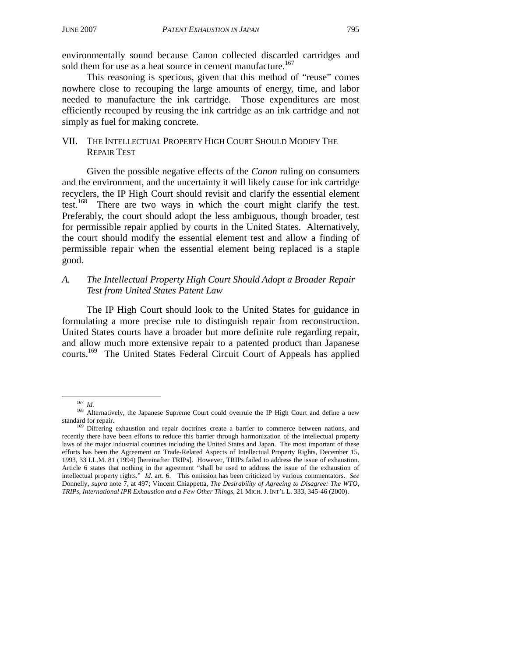environmentally sound because Canon collected discarded cartridges and sold them for use as a heat source in cement manufacture.<sup>167</sup>

This reasoning is specious, given that this method of "reuse" comes nowhere close to recouping the large amounts of energy, time, and labor needed to manufacture the ink cartridge. Those expenditures are most efficiently recouped by reusing the ink cartridge as an ink cartridge and not simply as fuel for making concrete.

# VII. THE INTELLECTUAL PROPERTY HIGH COURT SHOULD MODIFY THE REPAIR TEST

Given the possible negative effects of the *Canon* ruling on consumers and the environment, and the uncertainty it will likely cause for ink cartridge recyclers, the IP High Court should revisit and clarify the essential element test.<sup>168</sup> There are two ways in which the court might clarify the test. Preferably, the court should adopt the less ambiguous, though broader, test for permissible repair applied by courts in the United States. Alternatively, the court should modify the essential element test and allow a finding of permissible repair when the essential element being replaced is a staple good.

# *A. The Intellectual Property High Court Should Adopt a Broader Repair Test from United States Patent Law*

The IP High Court should look to the United States for guidance in formulating a more precise rule to distinguish repair from reconstruction. United States courts have a broader but more definite rule regarding repair, and allow much more extensive repair to a patented product than Japanese courts.169 The United States Federal Circuit Court of Appeals has applied

<sup>&</sup>lt;sup>167</sup> *Id.* 168 Alternatively, the Japanese Supreme Court could overrule the IP High Court and define a new standard for repair.<br><sup>169</sup> Differing exhaustion and repair doctrines create a barrier to commerce between nations, and

recently there have been efforts to reduce this barrier through harmonization of the intellectual property laws of the major industrial countries including the United States and Japan. The most important of these efforts has been the Agreement on Trade-Related Aspects of Intellectual Property Rights, December 15, 1993, 33 I.L.M. 81 (1994) [hereinafter TRIPs]. However, TRIPs failed to address the issue of exhaustion. Article 6 states that nothing in the agreement "shall be used to address the issue of the exhaustion of intellectual property rights." *Id.* art. 6. This omission has been criticized by various commentators. *See* Donnelly, *supra* note 7, at 497; Vincent Chiappetta, *The Desirability of Agreeing to Disagree: The WTO, TRIPs, International IPR Exhaustion and a Few Other Things*, 21 MICH. J. INT'L L. 333, 345-46 (2000).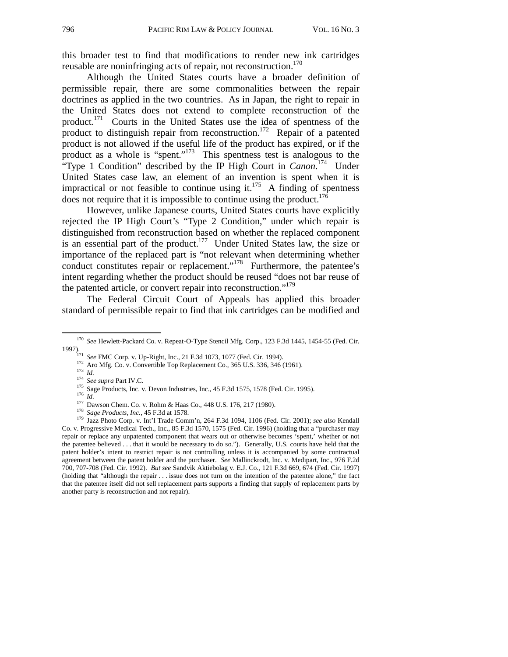this broader test to find that modifications to render new ink cartridges reusable are noninfringing acts of repair, not reconstruction.<sup>170</sup>

Although the United States courts have a broader definition of permissible repair, there are some commonalities between the repair doctrines as applied in the two countries. As in Japan, the right to repair in the United States does not extend to complete reconstruction of the product.171 Courts in the United States use the idea of spentness of the product to distinguish repair from reconstruction.<sup>172</sup> Repair of a patented product is not allowed if the useful life of the product has expired, or if the product as a whole is "spent."<sup>173</sup> This spentness test is analogous to the "Type 1 Condition" described by the IP High Court in *Canon*. 174 Under United States case law, an element of an invention is spent when it is impractical or not feasible to continue using it.<sup>175</sup> A finding of spentness does not require that it is impossible to continue using the product.<sup>176</sup>

However, unlike Japanese courts, United States courts have explicitly rejected the IP High Court's "Type 2 Condition," under which repair is distinguished from reconstruction based on whether the replaced component is an essential part of the product.<sup>177</sup> Under United States law, the size or importance of the replaced part is "not relevant when determining whether conduct constitutes repair or replacement."<sup>178</sup> Furthermore, the patentee's intent regarding whether the product should be reused "does not bar reuse of the patented article, or convert repair into reconstruction."<sup>179</sup>

The Federal Circuit Court of Appeals has applied this broader standard of permissible repair to find that ink cartridges can be modified and

<sup>&</sup>lt;sup>170</sup> See Hewlett-Packard Co. v. Repeat-O-Type Stencil Mfg. Corp., 123 F.3d 1445, 1454-55 (Fed. Cir. 1997).<br>
<sup>171</sup> *See* FMC Corp. v. Up-Right, Inc., 21 F.3d 1073, 1077 (Fed. Cir. 1994).<br>
<sup>172</sup> Aro Mfg. Co. v. Convertible Top Replacement Co., 365 U.S. 336, 346 (1961).<br>
<sup>173</sup> *Id.*<br>
<sup>174</sup> *See supra* Part IV.C.<br>
<sup>175</sup> Sag

Co. v. Progressive Medical Tech., Inc., 85 F.3d 1570, 1575 (Fed. Cir. 1996) (holding that a "purchaser may repair or replace any unpatented component that wears out or otherwise becomes 'spent,' whether or not the patentee believed . . . that it would be necessary to do so."). Generally, U.S. courts have held that the patent holder's intent to restrict repair is not controlling unless it is accompanied by some contractual agreement between the patent holder and the purchaser. *See* Mallinckrodt, Inc. v. Medipart, Inc., 976 F.2d 700, 707-708 (Fed. Cir. 1992). *But see* Sandvik Aktiebolag v. E.J. Co., 121 F.3d 669, 674 (Fed. Cir. 1997) (holding that "although the repair . . . issue does not turn on the intention of the patentee alone," the fact that the patentee itself did not sell replacement parts supports a finding that supply of replacement parts by another party is reconstruction and not repair).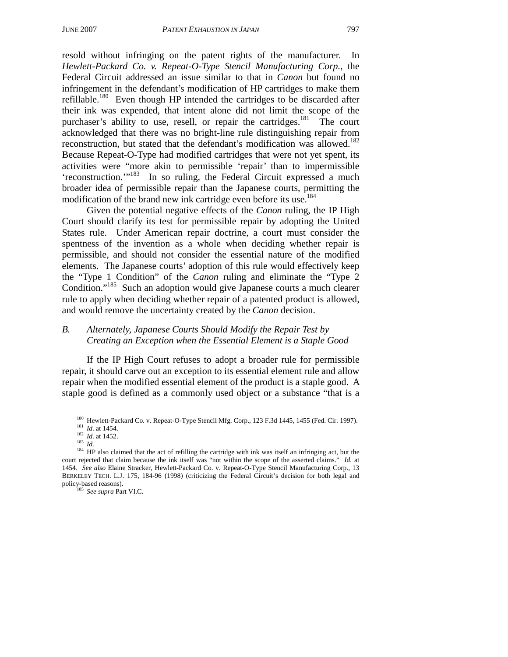resold without infringing on the patent rights of the manufacturer. In *Hewlett-Packard Co. v. Repeat-O-Type Stencil Manufacturing Corp.*, the Federal Circuit addressed an issue similar to that in *Canon* but found no infringement in the defendant's modification of HP cartridges to make them refillable.180 Even though HP intended the cartridges to be discarded after their ink was expended, that intent alone did not limit the scope of the purchaser's ability to use, resell, or repair the cartridges.<sup>181</sup> The court acknowledged that there was no bright-line rule distinguishing repair from reconstruction, but stated that the defendant's modification was allowed.<sup>182</sup> Because Repeat-O-Type had modified cartridges that were not yet spent, its activities were "more akin to permissible 'repair' than to impermissible 'reconstruction.'"183 In so ruling, the Federal Circuit expressed a much broader idea of permissible repair than the Japanese courts, permitting the modification of the brand new ink cartridge even before its use.<sup>184</sup>

Given the potential negative effects of the *Canon* ruling, the IP High Court should clarify its test for permissible repair by adopting the United States rule. Under American repair doctrine, a court must consider the spentness of the invention as a whole when deciding whether repair is permissible, and should not consider the essential nature of the modified elements. The Japanese courts' adoption of this rule would effectively keep the "Type 1 Condition" of the *Canon* ruling and eliminate the "Type 2 Condition."<sup>185</sup> Such an adoption would give Japanese courts a much clearer rule to apply when deciding whether repair of a patented product is allowed, and would remove the uncertainty created by the *Canon* decision.

# *B. Alternately, Japanese Courts Should Modify the Repair Test by Creating an Exception when the Essential Element is a Staple Good*

If the IP High Court refuses to adopt a broader rule for permissible repair, it should carve out an exception to its essential element rule and allow repair when the modified essential element of the product is a staple good. A staple good is defined as a commonly used object or a substance "that is a

<sup>185</sup> See supra Part VI.C.

<sup>&</sup>lt;sup>180</sup> Hewlett-Packard Co. v. Repeat-O-Type Stencil Mfg. Corp., 123 F.3d 1445, 1455 (Fed. Cir. 1997).<br><sup>181</sup> *Id.* at 1454.<br><sup>182</sup> *Id.* at 1452.<br><sup>182</sup> *Id.* at 1452.<br><sup>183</sup> *Id.*<br><sup>182</sup> *Id.* at 1452.<br><sup>183</sup> *Id.*<br><sup>184</sup> HP als

court rejected that claim because the ink itself was "not within the scope of the asserted claims." *Id.* at 1454. *See also* Elaine Stracker, Hewlett-Packard Co. v. Repeat-O-Type Stencil Manufacturing Corp., 13 BERKELEY TECH. L.J. 175, 184-96 (1998) (criticizing the Federal Circuit's decision for both legal and policy-based reasons).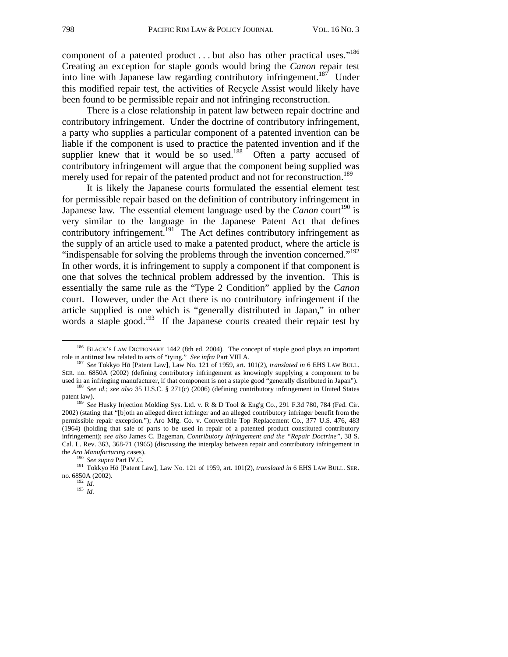component of a patented product . . . but also has other practical uses."<sup>186</sup> Creating an exception for staple goods would bring the *Canon* repair test into line with Japanese law regarding contributory infringement.<sup>187</sup> Under this modified repair test, the activities of Recycle Assist would likely have been found to be permissible repair and not infringing reconstruction.

There is a close relationship in patent law between repair doctrine and contributory infringement. Under the doctrine of contributory infringement, a party who supplies a particular component of a patented invention can be liable if the component is used to practice the patented invention and if the supplier knew that it would be so used.<sup>188</sup> Often a party accused of contributory infringement will argue that the component being supplied was merely used for repair of the patented product and not for reconstruction.<sup>189</sup>

It is likely the Japanese courts formulated the essential element test for permissible repair based on the definition of contributory infringement in Japanese law. The essential element language used by the *Canon* court<sup>190</sup> is very similar to the language in the Japanese Patent Act that defines contributory infringement.<sup>191</sup> The Act defines contributory infringement as the supply of an article used to make a patented product, where the article is "indispensable for solving the problems through the invention concerned."<sup>192</sup> In other words, it is infringement to supply a component if that component is one that solves the technical problem addressed by the invention. This is essentially the same rule as the "Type 2 Condition" applied by the *Canon* court. However, under the Act there is no contributory infringement if the article supplied is one which is "generally distributed in Japan," in other words a staple good.<sup>193</sup> If the Japanese courts created their repair test by

<sup>&</sup>lt;sup>186</sup> BLACK'S LAW DICTIONARY 1442 (8th ed. 2004). The concept of staple good plays an important role in antitrust law related to acts of "tying." *See infra* Part VIII A.

*See* Tokkyo Hō [Patent Law], Law No. 121 of 1959, art. 101(2), *translated in* 6 EHS LAW BULL. SER. no. 6850A (2002) (defining contributory infringement as knowingly supplying a component to be

used in an infringing manufacturer, if that component is not a staple good "generally distributed in Japan"). <sup>188</sup> *See id.*; *see also* 35 U.S.C. § 271(c) (2006) (defining contributory infringement in United States paten

<sup>&</sup>lt;sup>189</sup> See Husky Injection Molding Sys. Ltd. v. R & D Tool & Eng'g Co., 291 F.3d 780, 784 (Fed. Cir. 2002) (stating that "[b]oth an alleged direct infringer and an alleged contributory infringer benefit from the permissible repair exception."); Aro Mfg. Co. v. Convertible Top Replacement Co., 377 U.S. 476, 483 (1964) (holding that sale of parts to be used in repair of a patented product constituted contributory infringement); *see also* James C. Bageman, *Contributory Infringement and the "Repair Doctrine"*, 38 S. Cal. L. Rev. 363, 368-71 (1965) (discussing the interplay between repair and contributory infringement in the *Aro Manufacturing* cases).

<sup>&</sup>lt;sup>190</sup> *See supra* Part IV.C.<br><sup>191</sup> Tokkyo Hō [Patent Law], Law No. 121 of 1959, art. 101(2), *translated in* 6 EHS LAW BULL. SER.<br>10. 6850A (2002).

 $\frac{192}{193}$  *Id.* 193 *Id.*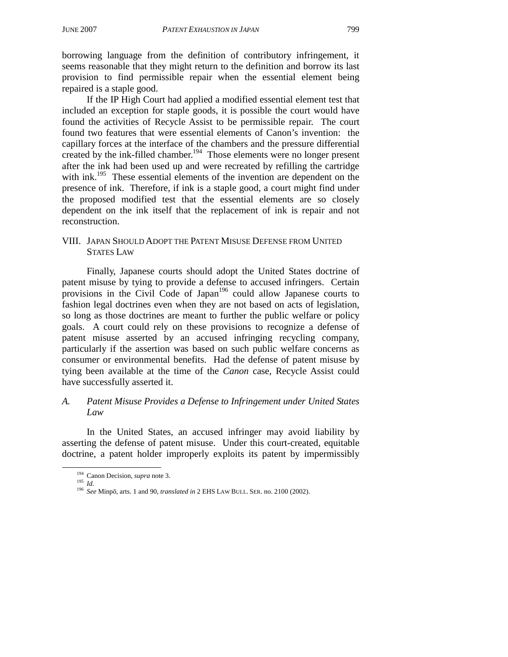borrowing language from the definition of contributory infringement, it seems reasonable that they might return to the definition and borrow its last provision to find permissible repair when the essential element being repaired is a staple good.

If the IP High Court had applied a modified essential element test that included an exception for staple goods, it is possible the court would have found the activities of Recycle Assist to be permissible repair. The court found two features that were essential elements of Canon's invention: the capillary forces at the interface of the chambers and the pressure differential created by the ink-filled chamber.<sup>194</sup> Those elements were no longer present after the ink had been used up and were recreated by refilling the cartridge with ink.<sup>195</sup> These essential elements of the invention are dependent on the presence of ink. Therefore, if ink is a staple good, a court might find under the proposed modified test that the essential elements are so closely dependent on the ink itself that the replacement of ink is repair and not reconstruction.

#### VIII. JAPAN SHOULD ADOPT THE PATENT MISUSE DEFENSE FROM UNITED STATES LAW

Finally, Japanese courts should adopt the United States doctrine of patent misuse by tying to provide a defense to accused infringers. Certain provisions in the Civil Code of Japan<sup>196</sup> could allow Japanese courts to fashion legal doctrines even when they are not based on acts of legislation, so long as those doctrines are meant to further the public welfare or policy goals. A court could rely on these provisions to recognize a defense of patent misuse asserted by an accused infringing recycling company, particularly if the assertion was based on such public welfare concerns as consumer or environmental benefits. Had the defense of patent misuse by tying been available at the time of the *Canon* case, Recycle Assist could have successfully asserted it.

# *A. Patent Misuse Provides a Defense to Infringement under United States Law*

In the United States, an accused infringer may avoid liability by asserting the defense of patent misuse. Under this court-created, equitable doctrine, a patent holder improperly exploits its patent by impermissibly

 <sup>194</sup> Canon Decision, *supra* note 3. <sup>195</sup> *Id.* <sup>196</sup> *See* Minpō, arts. 1 and 90, *translated in* 2 EHS LAW BULL. SER. no. 2100 (2002).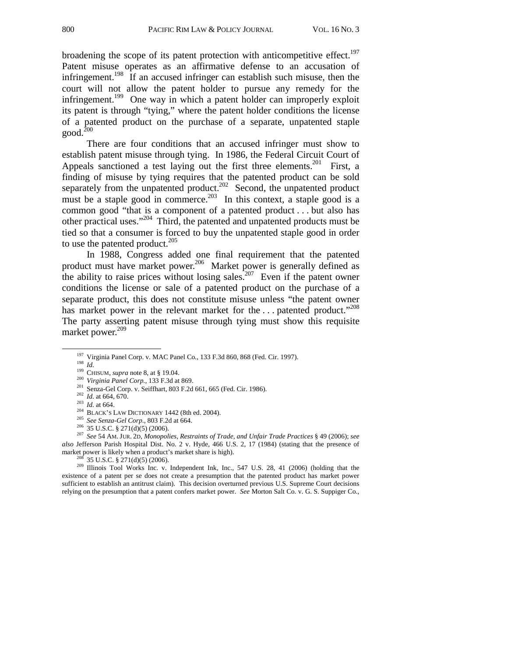broadening the scope of its patent protection with anticompetitive effect.<sup>197</sup> Patent misuse operates as an affirmative defense to an accusation of infringement.<sup>198</sup> If an accused infringer can establish such misuse, then the court will not allow the patent holder to pursue any remedy for the infringement.<sup>199</sup> One way in which a patent holder can improperly exploit its patent is through "tying," where the patent holder conditions the license of a patented product on the purchase of a separate, unpatented staple  $good.<sup>200</sup>$ 

There are four conditions that an accused infringer must show to establish patent misuse through tying. In 1986, the Federal Circuit Court of Appeals sanctioned a test laying out the first three elements.<sup>201</sup> First, a finding of misuse by tying requires that the patented product can be sold separately from the unpatented product.<sup>202</sup> Second, the unpatented product must be a staple good in commerce.<sup>203</sup> In this context, a staple good is a common good "that is a component of a patented product . . . but also has other practical uses."204 Third, the patented and unpatented products must be tied so that a consumer is forced to buy the unpatented staple good in order to use the patented product.<sup>205</sup>

In 1988, Congress added one final requirement that the patented product must have market power.<sup>206</sup> Market power is generally defined as the ability to raise prices without losing sales.<sup>207</sup> Even if the patent owner conditions the license or sale of a patented product on the purchase of a separate product, this does not constitute misuse unless "the patent owner has market power in the relevant market for the ... patented product."<sup>208</sup> The party asserting patent misuse through tying must show this requisite market power. $209$ 

<sup>208</sup> 35 U.S.C. § 271(d)(5) (2006). <sup>209</sup> Illinois Tool Works Inc. v. Independent Ink, Inc., 547 U.S. 28, 41 (2006) (holding that the existence of a patent per se does not create a presumption that the patented product has market power sufficient to establish an antitrust claim). This decision overturned previous U.S. Supreme Court decisions relying on the presumption that a patent confers market power. *See* Morton Salt Co. v. G. S. Suppiger Co.,

<sup>&</sup>lt;sup>197</sup> Virginia Panel Corp. v. MAC Panel Co., 133 F.3d 860, 868 (Fed. Cir. 1997).<br><sup>198</sup> *Id.*<br><sup>199</sup> CHISUM, *supra* note 8, at § 19.04.<br><sup>200</sup> Virginia Panel Corp., 133 F.3d at 869.<br><sup>201</sup> Senza-Gel Corp. v. Seiffhart, 803 F

*also* Jefferson Parish Hospital Dist. No. 2 v. Hyde, 466 U.S. 2, 17 (1984) (stating that the presence of market power is likely when a product's market share is high).<br><sup>208</sup> 35 U.S.C. 8 271(*A*)(5) (2006)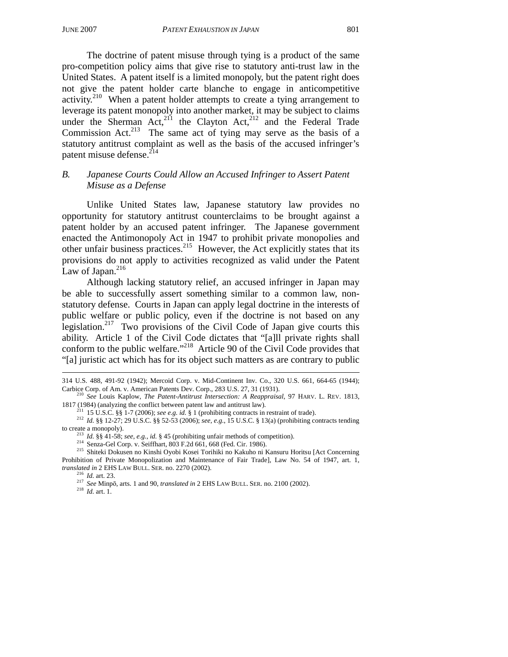The doctrine of patent misuse through tying is a product of the same pro-competition policy aims that give rise to statutory anti-trust law in the United States. A patent itself is a limited monopoly, but the patent right does not give the patent holder carte blanche to engage in anticompetitive activity.<sup>210</sup> When a patent holder attempts to create a tying arrangement to leverage its patent monopoly into another market, it may be subject to claims under the Sherman Act,<sup>211</sup> the Clayton Act,<sup>212</sup> and the Federal Trade Commission Act.<sup>213</sup> The same act of tying may serve as the basis of a statutory antitrust complaint as well as the basis of the accused infringer's patent misuse defense.<sup>214</sup>

# *B. Japanese Courts Could Allow an Accused Infringer to Assert Patent Misuse as a Defense*

Unlike United States law, Japanese statutory law provides no opportunity for statutory antitrust counterclaims to be brought against a patent holder by an accused patent infringer. The Japanese government enacted the Antimonopoly Act in 1947 to prohibit private monopolies and other unfair business practices.<sup>215</sup> However, the Act explicitly states that its provisions do not apply to activities recognized as valid under the Patent Law of Japan. $^{216}$ 

Although lacking statutory relief, an accused infringer in Japan may be able to successfully assert something similar to a common law, nonstatutory defense. Courts in Japan can apply legal doctrine in the interests of public welfare or public policy, even if the doctrine is not based on any legislation.<sup>217</sup> Two provisions of the Civil Code of Japan give courts this ability. Article 1 of the Civil Code dictates that "[a]ll private rights shall conform to the public welfare."218 Article 90 of the Civil Code provides that "[a] juristic act which has for its object such matters as are contrary to public

l 314 U.S. 488, 491-92 (1942); Mercoid Corp. v. Mid-Continent Inv. Co., 320 U.S. 661, 664-65 (1944);

Carbice Corp. of Am. v. American Patents Dev. Corp., 283 U.S. 27, 31 (1931).<br><sup>210</sup> *See* Louis Kaplow, *The Patent-Antitrust Intersection: A Reappraisal*, 97 HARV. L. REV. 1813, 1817 (1984) (analyzing the conflict between

<sup>&</sup>lt;sup>211</sup> 15 U.S.C. §§ 1-7 (2006); see e.g. id. § 1 (prohibiting contracts in restraint of trade).<br><sup>212</sup> Id. §§ 12-27; 29 U.S.C. §§ 52-53 (2006); see, e.g., 15 U.S.C. § 13(a) (prohibiting contracts tending to create a monopol

<sup>&</sup>lt;sup>213</sup> *Id.* §§ 41-58; *see, e.g., id.* § 45 (prohibiting unfair methods of competition).<br><sup>214</sup> Senza-Gel Corp. v. Seiffhart, 803 F.2d 661, 668 (Fed. Cir. 1986).<br><sup>215</sup> Shiteki Dokusen no Kinshi Oyobi Kosei Torihiki no Kaku Prohibition of Private Monopolization and Maintenance of Fair Trade], Law No. 54 of 1947, art. 1, *translated in* 2 EHS LAW BULL. SER. no. 2270 (2002).<br><sup>216</sup> *Id.* art. 23. <sup>217</sup> *See* Minpō, arts. 1 and 90, *translated in* 2 EHS LAW BULL. SER. no. 2100 (2002).<br><sup>218</sup> *Id.* art. 1.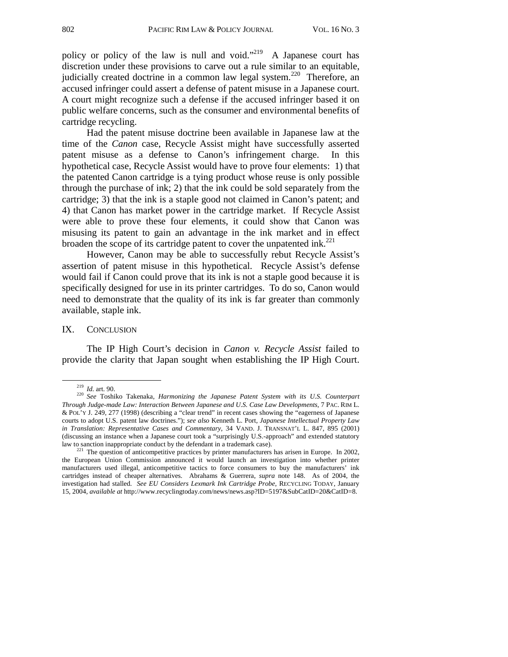policy or policy of the law is null and void."<sup>219</sup> A Japanese court has discretion under these provisions to carve out a rule similar to an equitable, judicially created doctrine in a common law legal system.<sup>220</sup> Therefore, an accused infringer could assert a defense of patent misuse in a Japanese court. A court might recognize such a defense if the accused infringer based it on public welfare concerns, such as the consumer and environmental benefits of cartridge recycling.

Had the patent misuse doctrine been available in Japanese law at the time of the *Canon* case, Recycle Assist might have successfully asserted patent misuse as a defense to Canon's infringement charge. In this hypothetical case, Recycle Assist would have to prove four elements: 1) that the patented Canon cartridge is a tying product whose reuse is only possible through the purchase of ink; 2) that the ink could be sold separately from the cartridge; 3) that the ink is a staple good not claimed in Canon's patent; and 4) that Canon has market power in the cartridge market. If Recycle Assist were able to prove these four elements, it could show that Canon was misusing its patent to gain an advantage in the ink market and in effect broaden the scope of its cartridge patent to cover the unpatented ink. $^{221}$ 

However, Canon may be able to successfully rebut Recycle Assist's assertion of patent misuse in this hypothetical. Recycle Assist's defense would fail if Canon could prove that its ink is not a staple good because it is specifically designed for use in its printer cartridges. To do so, Canon would need to demonstrate that the quality of its ink is far greater than commonly available, staple ink.

#### IX. CONCLUSION

The IP High Court's decision in *Canon v. Recycle Assist* failed to provide the clarity that Japan sought when establishing the IP High Court.

<sup>&</sup>lt;sup>219</sup> *Id.* art. 90.<br><sup>220</sup> *See* Toshiko Takenaka, *Harmonizing the Japanese Patent System with its U.S. Counterpart Through Judge-made Law: Interaction Between Japanese and U.S. Case Law Developments*, 7 PAC. RIM L. & POL'Y J. 249, 277 (1998) (describing a "clear trend" in recent cases showing the "eagerness of Japanese courts to adopt U.S. patent law doctrines."); *see also* Kenneth L. Port, *Japanese Intellectual Property Law in Translation: Representative Cases and Commentary*, 34 VAND. J. TRANSNAT'L L. 847, 895 (2001) (discussing an instance when a Japanese court took a "surprisingly U.S.-approach" and extended statutory law to sanction inappropriate conduct by the defendant in a trademark case).<br><sup>221</sup> The question of anticompetitive practices by printer manufacturers has arisen in Europe. In 2002,

the European Union Commission announced it would launch an investigation into whether printer manufacturers used illegal, anticompetitive tactics to force consumers to buy the manufacturers' ink cartridges instead of cheaper alternatives. Abrahams & Guerrera, *supra* note 148. As of 2004, the investigation had stalled. *See EU Considers Lexmark Ink Cartridge Probe*, RECYCLING TODAY, January 15, 2004, *available at* http://www.recyclingtoday.com/news/news.asp?ID=5197&SubCatID=20&CatID=8.